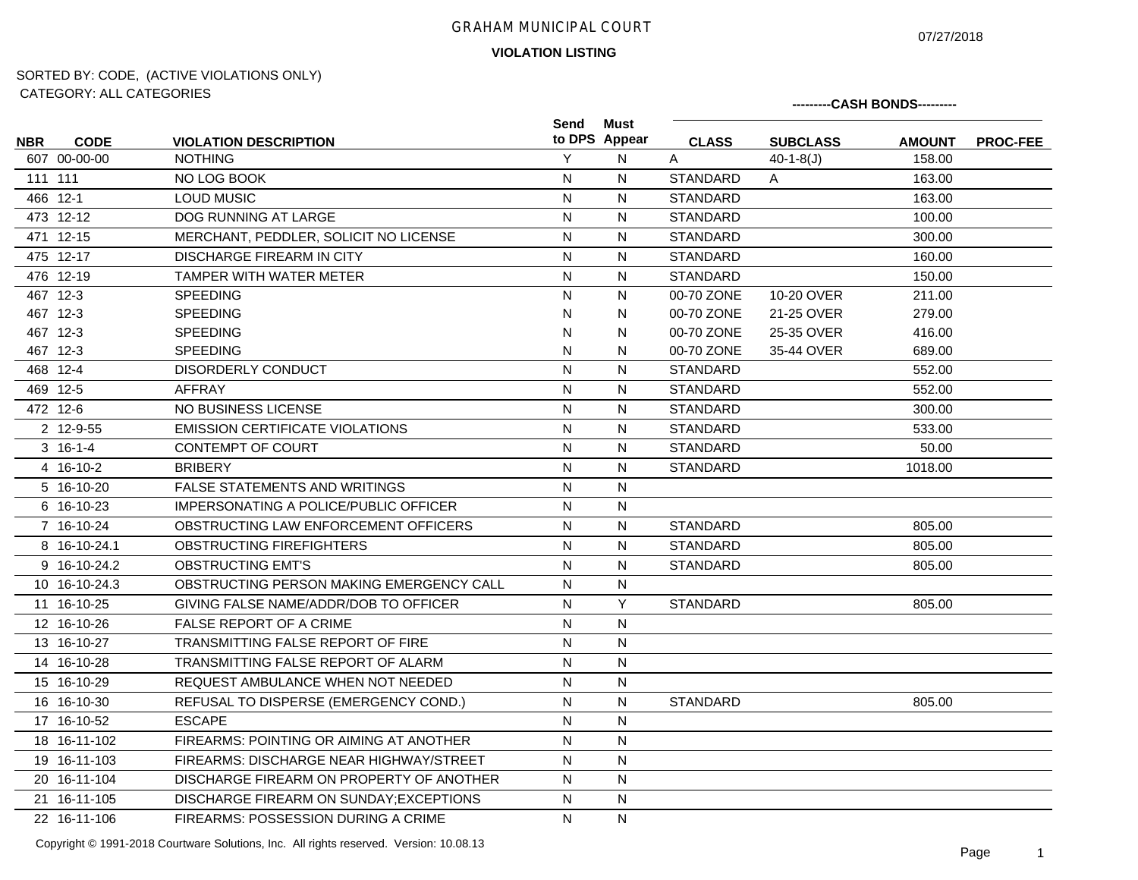07/27/2018

**---------CASH BONDS---------**

## **VIOLATION LISTING**

# SORTED BY: CODE, (ACTIVE VIOLATIONS ONLY) CATEGORY: ALL CATEGORIES

| <b>NBR</b> | <b>CODE</b>   | <b>VIOLATION DESCRIPTION</b>               | Send         | Must<br>to DPS Appear | <b>CLASS</b>    | <b>SUBCLASS</b> | <b>AMOUNT</b> | <b>PROC-FEE</b> |
|------------|---------------|--------------------------------------------|--------------|-----------------------|-----------------|-----------------|---------------|-----------------|
|            | 607 00-00-00  | <b>NOTHING</b>                             | Y            | N                     | A               | $40-1-8(J)$     | 158.00        |                 |
|            | 111 111       | NO LOG BOOK                                | $\mathsf{N}$ | $\mathsf{N}$          | <b>STANDARD</b> | A               | 163.00        |                 |
|            | 466 12-1      | <b>LOUD MUSIC</b>                          | $\mathsf{N}$ | ${\sf N}$             | <b>STANDARD</b> |                 | 163.00        |                 |
|            | 473 12-12     | DOG RUNNING AT LARGE                       | $\mathsf{N}$ | N                     | <b>STANDARD</b> |                 | 100.00        |                 |
|            | 471 12-15     | MERCHANT, PEDDLER, SOLICIT NO LICENSE      | ${\sf N}$    | ${\sf N}$             | <b>STANDARD</b> |                 | 300.00        |                 |
|            | 475 12-17     | DISCHARGE FIREARM IN CITY                  | ${\sf N}$    | ${\sf N}$             | <b>STANDARD</b> |                 | 160.00        |                 |
|            | 476 12-19     | TAMPER WITH WATER METER                    | ${\sf N}$    | ${\sf N}$             | <b>STANDARD</b> |                 | 150.00        |                 |
|            | 467 12-3      | <b>SPEEDING</b>                            | N            | N                     | 00-70 ZONE      | 10-20 OVER      | 211.00        |                 |
|            | 467 12-3      | <b>SPEEDING</b>                            | N            | N                     | 00-70 ZONE      | 21-25 OVER      | 279.00        |                 |
|            | 467 12-3      | <b>SPEEDING</b>                            | N            | N                     | 00-70 ZONE      | 25-35 OVER      | 416.00        |                 |
|            | 467 12-3      | <b>SPEEDING</b>                            | N            | N                     | 00-70 ZONE      | 35-44 OVER      | 689.00        |                 |
|            | 468 12-4      | <b>DISORDERLY CONDUCT</b>                  | $\mathsf{N}$ | N                     | <b>STANDARD</b> |                 | 552.00        |                 |
|            | 469 12-5      | <b>AFFRAY</b>                              | ${\sf N}$    | ${\sf N}$             | <b>STANDARD</b> |                 | 552.00        |                 |
|            | 472 12-6      | <b>NO BUSINESS LICENSE</b>                 | N            | N                     | <b>STANDARD</b> |                 | 300.00        |                 |
|            | 2 12-9-55     | <b>EMISSION CERTIFICATE VIOLATIONS</b>     | ${\sf N}$    | N                     | <b>STANDARD</b> |                 | 533.00        |                 |
|            | $3 \t16-1-4$  | <b>CONTEMPT OF COURT</b>                   | $\mathsf{N}$ | N                     | STANDARD        |                 | 50.00         |                 |
|            | 4 16-10-2     | <b>BRIBERY</b>                             | ${\sf N}$    | N                     | <b>STANDARD</b> |                 | 1018.00       |                 |
|            | 5 16-10-20    | <b>FALSE STATEMENTS AND WRITINGS</b>       | $\mathsf{N}$ | N                     |                 |                 |               |                 |
|            | 6 16-10-23    | IMPERSONATING A POLICE/PUBLIC OFFICER      | N            | N                     |                 |                 |               |                 |
|            | 7 16-10-24    | OBSTRUCTING LAW ENFORCEMENT OFFICERS       | N            | N                     | <b>STANDARD</b> |                 | 805.00        |                 |
|            | 8 16-10-24.1  | OBSTRUCTING FIREFIGHTERS                   | N            | N                     | <b>STANDARD</b> |                 | 805.00        |                 |
|            | 9 16-10-24.2  | <b>OBSTRUCTING EMT'S</b>                   | N            | N                     | <b>STANDARD</b> |                 | 805.00        |                 |
|            | 10 16-10-24.3 | OBSTRUCTING PERSON MAKING EMERGENCY CALL   | N            | N                     |                 |                 |               |                 |
|            | 11 16-10-25   | GIVING FALSE NAME/ADDR/DOB TO OFFICER      | N            | Y                     | <b>STANDARD</b> |                 | 805.00        |                 |
|            | 12 16-10-26   | <b>FALSE REPORT OF A CRIME</b>             | $\mathsf{N}$ | N                     |                 |                 |               |                 |
|            | 13 16-10-27   | TRANSMITTING FALSE REPORT OF FIRE          | N            | N                     |                 |                 |               |                 |
|            | 14 16-10-28   | TRANSMITTING FALSE REPORT OF ALARM         | $\mathsf{N}$ | $\mathsf{N}$          |                 |                 |               |                 |
|            | 15 16-10-29   | REQUEST AMBULANCE WHEN NOT NEEDED          | $\mathsf{N}$ | N                     |                 |                 |               |                 |
|            | 16 16-10-30   | REFUSAL TO DISPERSE (EMERGENCY COND.)      | $\mathsf{N}$ | $\mathsf{N}$          | <b>STANDARD</b> |                 | 805.00        |                 |
|            | 17 16-10-52   | <b>ESCAPE</b>                              | N            | N                     |                 |                 |               |                 |
|            | 18 16-11-102  | FIREARMS: POINTING OR AIMING AT ANOTHER    | N            | N                     |                 |                 |               |                 |
|            | 19 16-11-103  | FIREARMS: DISCHARGE NEAR HIGHWAY/STREET    | N            | N                     |                 |                 |               |                 |
|            | 20 16-11-104  | DISCHARGE FIREARM ON PROPERTY OF ANOTHER   | N            | $\mathsf{N}$          |                 |                 |               |                 |
|            | 21 16-11-105  | DISCHARGE FIREARM ON SUNDAY; EXCEPTIONS    | ${\sf N}$    | ${\sf N}$             |                 |                 |               |                 |
|            | 22 16-11-106  | <b>FIREARMS: POSSESSION DURING A CRIME</b> | N            | $\mathsf{N}$          |                 |                 |               |                 |

Copyright © 1991-2018 Courtware Solutions, Inc. All rights reserved. Version: 10.08.13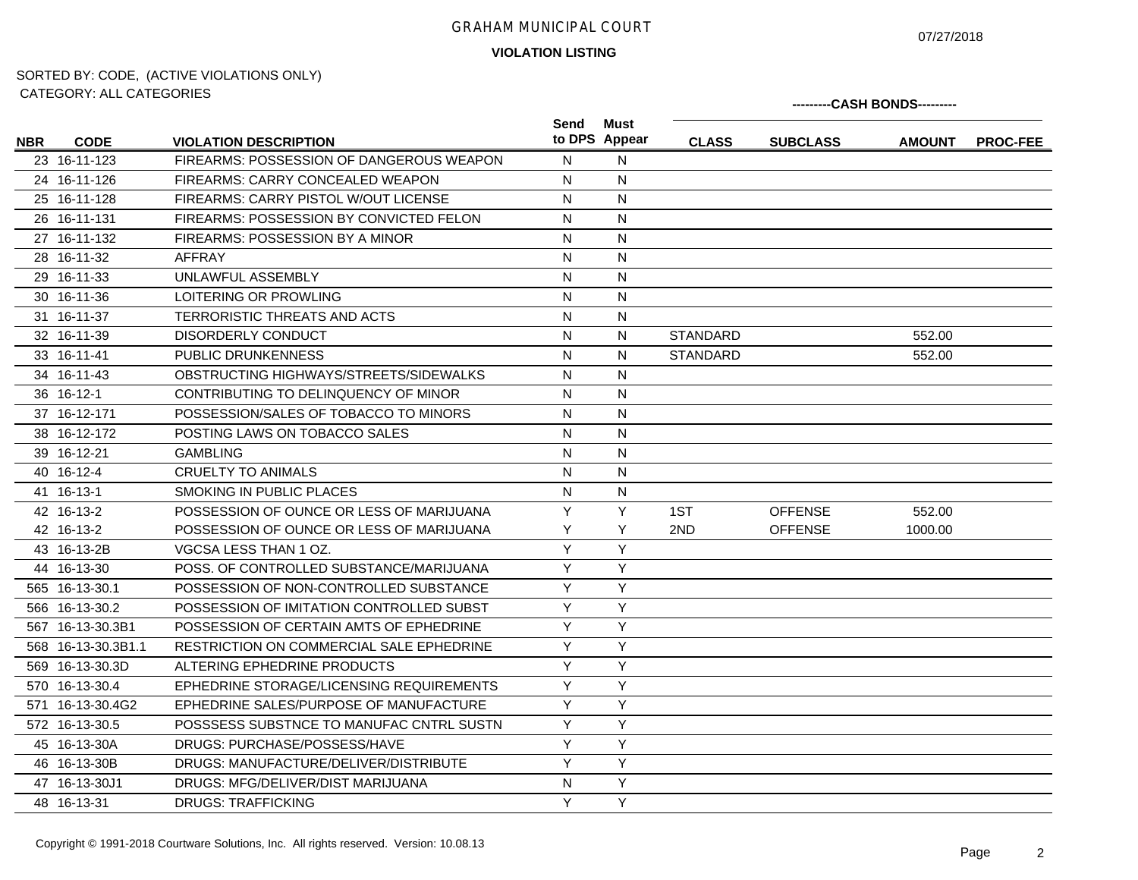07/27/2018

**VIOLATION LISTING**

|            | 0111LOUINT. 71LL 0711LOUINLU |                                          |      |                       |                 |                 | ---------CASH BONDS--------- |                 |
|------------|------------------------------|------------------------------------------|------|-----------------------|-----------------|-----------------|------------------------------|-----------------|
| <b>NBR</b> | <b>CODE</b>                  | <b>VIOLATION DESCRIPTION</b>             | Send | Must<br>to DPS Appear | <b>CLASS</b>    | <b>SUBCLASS</b> | <b>AMOUNT</b>                | <b>PROC-FEE</b> |
|            | 23 16-11-123                 | FIREARMS: POSSESSION OF DANGEROUS WEAPON | N    | N                     |                 |                 |                              |                 |
|            | 24 16-11-126                 | FIREARMS: CARRY CONCEALED WEAPON         | N    | $\mathsf{N}$          |                 |                 |                              |                 |
|            | 25 16-11-128                 | FIREARMS: CARRY PISTOL W/OUT LICENSE     | N    | N                     |                 |                 |                              |                 |
|            | 26 16-11-131                 | FIREARMS: POSSESSION BY CONVICTED FELON  | N    | $\mathsf{N}$          |                 |                 |                              |                 |
|            | 27 16-11-132                 | FIREARMS: POSSESSION BY A MINOR          | N    | N                     |                 |                 |                              |                 |
|            | 28 16-11-32                  | <b>AFFRAY</b>                            | N    | N                     |                 |                 |                              |                 |
|            | 29 16-11-33                  | UNLAWFUL ASSEMBLY                        | N    | N                     |                 |                 |                              |                 |
|            | 30 16-11-36                  | LOITERING OR PROWLING                    | N    | $\mathsf{N}$          |                 |                 |                              |                 |
|            | 31 16-11-37                  | TERRORISTIC THREATS AND ACTS             | N    | N                     |                 |                 |                              |                 |
|            | 32 16-11-39                  | DISORDERLY CONDUCT                       | N    | ${\sf N}$             | <b>STANDARD</b> |                 | 552.00                       |                 |
|            | 33 16-11-41                  | <b>PUBLIC DRUNKENNESS</b>                | N    | N                     | <b>STANDARD</b> |                 | 552.00                       |                 |
|            | 34 16-11-43                  | OBSTRUCTING HIGHWAYS/STREETS/SIDEWALKS   | N    | N                     |                 |                 |                              |                 |
|            | 36 16-12-1                   | CONTRIBUTING TO DELINQUENCY OF MINOR     | N    | $\mathsf{N}$          |                 |                 |                              |                 |
|            | 37 16-12-171                 | POSSESSION/SALES OF TOBACCO TO MINORS    | N    | N                     |                 |                 |                              |                 |
|            | 38 16-12-172                 | POSTING LAWS ON TOBACCO SALES            | N    | N                     |                 |                 |                              |                 |
|            | 39 16-12-21                  | <b>GAMBLING</b>                          | N    | N                     |                 |                 |                              |                 |
|            | 40 16-12-4                   | <b>CRUELTY TO ANIMALS</b>                | N    | N                     |                 |                 |                              |                 |
|            | 41 16-13-1                   | SMOKING IN PUBLIC PLACES                 | N    | $\mathsf{N}$          |                 |                 |                              |                 |
|            | 42 16-13-2                   | POSSESSION OF OUNCE OR LESS OF MARIJUANA | Y    | Y                     | 1ST             | <b>OFFENSE</b>  | 552.00                       |                 |
|            | 42 16-13-2                   | POSSESSION OF OUNCE OR LESS OF MARIJUANA | Υ    | Y                     | 2ND             | <b>OFFENSE</b>  | 1000.00                      |                 |
|            | 43 16-13-2B                  | VGCSA LESS THAN 1 OZ.                    | Y    | Y                     |                 |                 |                              |                 |
|            | 44 16-13-30                  | POSS, OF CONTROLLED SUBSTANCE/MARIJUANA  | Y    | Y                     |                 |                 |                              |                 |
|            | 565 16-13-30.1               | POSSESSION OF NON-CONTROLLED SUBSTANCE   | Y    | Y                     |                 |                 |                              |                 |
|            | 566 16-13-30.2               | POSSESSION OF IMITATION CONTROLLED SUBST | Y    | Y                     |                 |                 |                              |                 |
|            | 567 16-13-30.3B1             | POSSESSION OF CERTAIN AMTS OF EPHEDRINE  | Y    | Y                     |                 |                 |                              |                 |
|            | 568 16-13-30.3B1.1           | RESTRICTION ON COMMERCIAL SALE EPHEDRINE | Y    | Y                     |                 |                 |                              |                 |
|            | 569 16-13-30.3D              | ALTERING EPHEDRINE PRODUCTS              | Y    | Y                     |                 |                 |                              |                 |
|            | 570 16-13-30.4               | EPHEDRINE STORAGE/LICENSING REQUIREMENTS | Y    | Y                     |                 |                 |                              |                 |
|            | 571 16-13-30.4G2             | EPHEDRINE SALES/PURPOSE OF MANUFACTURE   | Y    | Y                     |                 |                 |                              |                 |
|            | 572 16-13-30.5               | POSSSESS SUBSTNCE TO MANUFAC CNTRL SUSTN | Y    | Y                     |                 |                 |                              |                 |
|            | 45 16-13-30A                 | DRUGS: PURCHASE/POSSESS/HAVE             | Y    | Y                     |                 |                 |                              |                 |
|            | 46 16-13-30B                 | DRUGS: MANUFACTURE/DELIVER/DISTRIBUTE    | Y    | Y                     |                 |                 |                              |                 |
|            | 47 16-13-30J1                | DRUGS: MFG/DELIVER/DIST MARIJUANA        | N    | Y                     |                 |                 |                              |                 |
|            | 48 16-13-31                  | <b>DRUGS: TRAFFICKING</b>                | Y    | Y                     |                 |                 |                              |                 |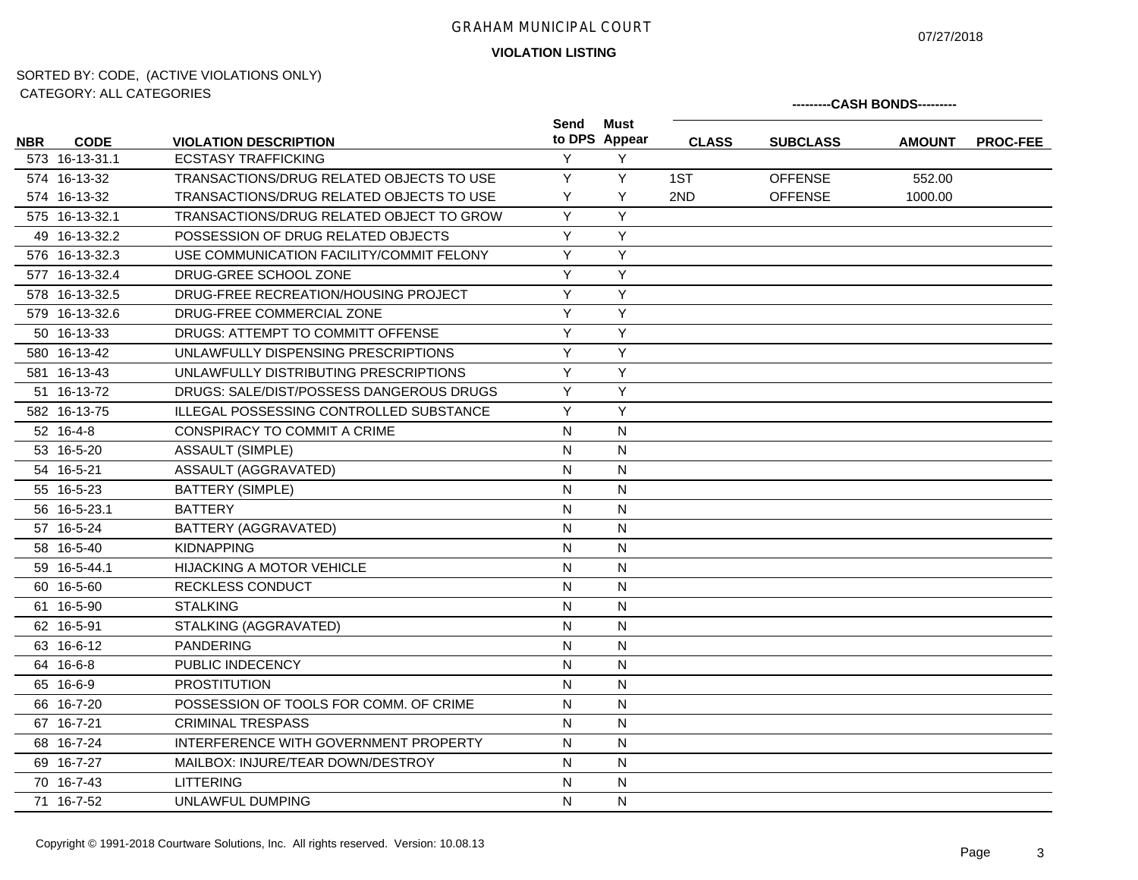07/27/2018

**VIOLATION LISTING**

|            | <b>UATLOUIT</b> . ALL UATLOUITLU |                                                |              |                       |              |                 | ---------CASH BONDS--------- |                 |
|------------|----------------------------------|------------------------------------------------|--------------|-----------------------|--------------|-----------------|------------------------------|-----------------|
| <b>NBR</b> | <b>CODE</b>                      | <b>VIOLATION DESCRIPTION</b>                   | Send         | Must<br>to DPS Appear | <b>CLASS</b> | <b>SUBCLASS</b> | <b>AMOUNT</b>                | <b>PROC-FEE</b> |
|            | 573 16-13-31.1                   | <b>ECSTASY TRAFFICKING</b>                     | Y            | Y                     |              |                 |                              |                 |
|            | 574 16-13-32                     | TRANSACTIONS/DRUG RELATED OBJECTS TO USE       | Y            | Y                     | 1ST          | <b>OFFENSE</b>  | 552.00                       |                 |
|            | 574 16-13-32                     | TRANSACTIONS/DRUG RELATED OBJECTS TO USE       | Y            | Y                     | 2ND          | <b>OFFENSE</b>  | 1000.00                      |                 |
|            | 575 16-13-32.1                   | TRANSACTIONS/DRUG RELATED OBJECT TO GROW       | Y            | Y                     |              |                 |                              |                 |
|            | 49 16-13-32.2                    | POSSESSION OF DRUG RELATED OBJECTS             | Y            | Y                     |              |                 |                              |                 |
|            | 576 16-13-32.3                   | USE COMMUNICATION FACILITY/COMMIT FELONY       | Y            | Y                     |              |                 |                              |                 |
|            | 577 16-13-32.4                   | DRUG-GREE SCHOOL ZONE                          | Y            | Y                     |              |                 |                              |                 |
|            | 578 16-13-32.5                   | DRUG-FREE RECREATION/HOUSING PROJECT           | Y            | Y                     |              |                 |                              |                 |
|            | 579 16-13-32.6                   | DRUG-FREE COMMERCIAL ZONE                      | Y            | Y                     |              |                 |                              |                 |
|            | 50 16-13-33                      | DRUGS: ATTEMPT TO COMMITT OFFENSE              | Y            | Y                     |              |                 |                              |                 |
|            | 580 16-13-42                     | UNLAWFULLY DISPENSING PRESCRIPTIONS            | Y            | Y                     |              |                 |                              |                 |
|            | 581 16-13-43                     | UNLAWFULLY DISTRIBUTING PRESCRIPTIONS          | Y            | Y                     |              |                 |                              |                 |
|            | 51 16-13-72                      | DRUGS: SALE/DIST/POSSESS DANGEROUS DRUGS       | Y            | Y                     |              |                 |                              |                 |
|            | 582 16-13-75                     | <b>ILLEGAL POSSESSING CONTROLLED SUBSTANCE</b> | Y            | Y                     |              |                 |                              |                 |
|            | 52 16-4-8                        | CONSPIRACY TO COMMIT A CRIME                   | $\mathsf{N}$ | ${\sf N}$             |              |                 |                              |                 |
|            | 53 16-5-20                       | <b>ASSAULT (SIMPLE)</b>                        | $\mathsf{N}$ | $\mathsf{N}$          |              |                 |                              |                 |
|            | 54 16-5-21                       | ASSAULT (AGGRAVATED)                           | N            | N                     |              |                 |                              |                 |
|            | 55 16-5-23                       | <b>BATTERY (SIMPLE)</b>                        | N            | $\mathsf{N}$          |              |                 |                              |                 |
|            | 56 16-5-23.1                     | <b>BATTERY</b>                                 | N            | N                     |              |                 |                              |                 |
|            | 57 16-5-24                       | BATTERY (AGGRAVATED)                           | N            | N                     |              |                 |                              |                 |
|            | 58 16-5-40                       | <b>KIDNAPPING</b>                              | $\mathsf{N}$ | $\mathsf{N}$          |              |                 |                              |                 |
|            | 59 16-5-44.1                     | <b>HIJACKING A MOTOR VEHICLE</b>               | $\mathsf{N}$ | $\mathsf{N}$          |              |                 |                              |                 |
|            | 60 16-5-60                       | RECKLESS CONDUCT                               | $\mathsf{N}$ | $\mathsf{N}$          |              |                 |                              |                 |
|            | 61 16-5-90                       | <b>STALKING</b>                                | $\mathsf{N}$ | N                     |              |                 |                              |                 |
|            | 62 16-5-91                       | STALKING (AGGRAVATED)                          | $\mathsf{N}$ | N                     |              |                 |                              |                 |
|            | 63 16-6-12                       | <b>PANDERING</b>                               | N            | N                     |              |                 |                              |                 |
|            | 64 16-6-8                        | PUBLIC INDECENCY                               | $\mathsf{N}$ | $\mathsf{N}$          |              |                 |                              |                 |
|            | 65 16-6-9                        | <b>PROSTITUTION</b>                            | N            | N                     |              |                 |                              |                 |
|            | 66 16-7-20                       | POSSESSION OF TOOLS FOR COMM. OF CRIME         | N            | N                     |              |                 |                              |                 |
|            | 67 16-7-21                       | <b>CRIMINAL TRESPASS</b>                       | N            | N                     |              |                 |                              |                 |
|            | 68 16-7-24                       | INTERFERENCE WITH GOVERNMENT PROPERTY          | ${\sf N}$    | ${\sf N}$             |              |                 |                              |                 |
|            | 69 16-7-27                       | MAILBOX: INJURE/TEAR DOWN/DESTROY              | N            | $\mathsf{N}$          |              |                 |                              |                 |
|            | 70 16-7-43                       | <b>LITTERING</b>                               | $\mathsf{N}$ | ${\sf N}$             |              |                 |                              |                 |
|            | 71 16-7-52                       | UNLAWFUL DUMPING                               | N            | N                     |              |                 |                              |                 |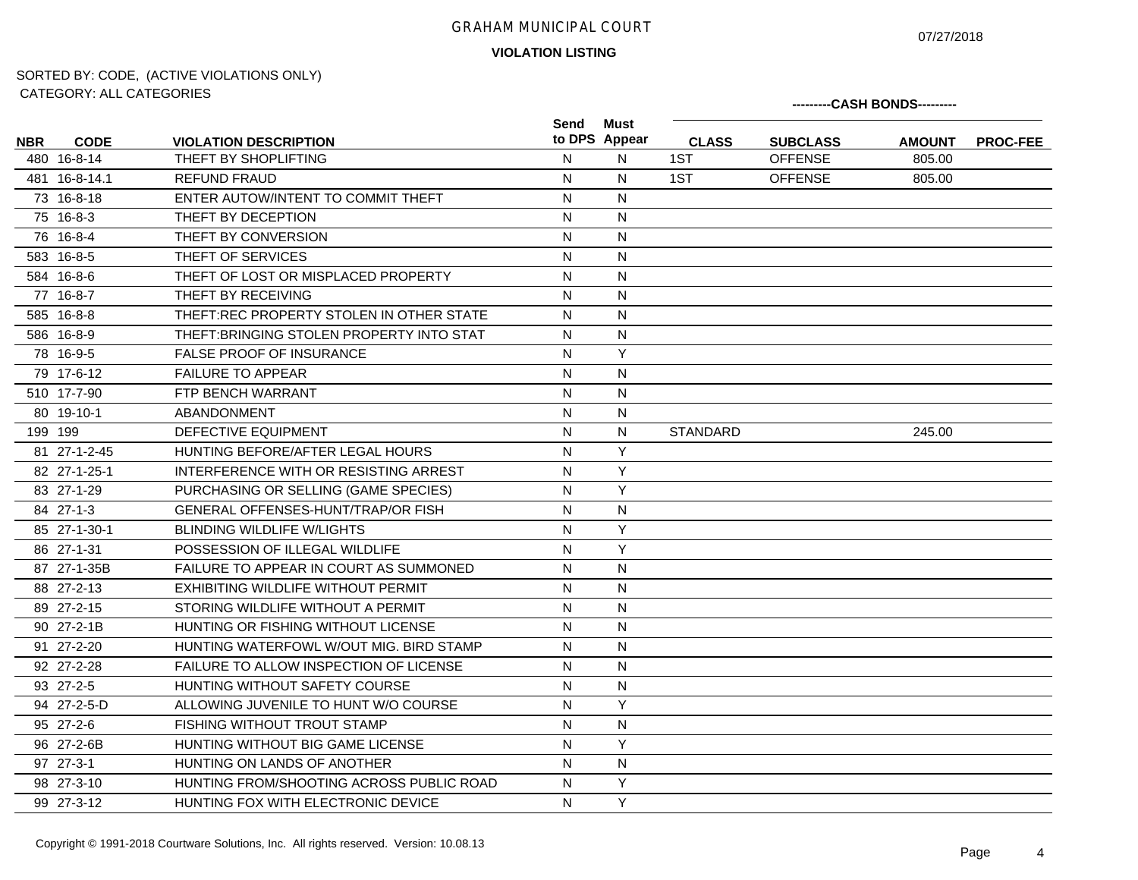07/27/2018

**VIOLATION LISTING**

|            | <b>UATLOUITT. ALL UATLOUITLU</b> |                                               |              |                       |              |                 | ---------CASH BONDS--------- |                 |
|------------|----------------------------------|-----------------------------------------------|--------------|-----------------------|--------------|-----------------|------------------------------|-----------------|
| <b>NBR</b> | <b>CODE</b>                      | <b>VIOLATION DESCRIPTION</b>                  | Send         | Must<br>to DPS Appear | <b>CLASS</b> | <b>SUBCLASS</b> | <b>AMOUNT</b>                | <b>PROC-FEE</b> |
|            | 480 16-8-14                      | THEFT BY SHOPLIFTING                          | $\mathsf{N}$ | N                     | 1ST          | <b>OFFENSE</b>  | 805.00                       |                 |
|            | 481 16-8-14.1                    | REFUND FRAUD                                  | N            | N                     | 1ST          | <b>OFFENSE</b>  | 805.00                       |                 |
|            | 73 16-8-18                       | ENTER AUTOW/INTENT TO COMMIT THEFT            | $\mathsf{N}$ | $\mathsf{N}$          |              |                 |                              |                 |
|            | 75 16-8-3                        | THEFT BY DECEPTION                            | N            | $\mathsf{N}$          |              |                 |                              |                 |
|            | 76 16-8-4                        | THEFT BY CONVERSION                           | $\mathsf{N}$ | N                     |              |                 |                              |                 |
|            | 583 16-8-5                       | THEFT OF SERVICES                             | $\mathsf{N}$ | $\mathsf{N}$          |              |                 |                              |                 |
|            | 584 16-8-6                       | THEFT OF LOST OR MISPLACED PROPERTY           | N            | N                     |              |                 |                              |                 |
|            | 77 16-8-7                        | THEFT BY RECEIVING                            | $\mathsf{N}$ | N                     |              |                 |                              |                 |
|            | 585 16-8-8                       | THEFT:REC PROPERTY STOLEN IN OTHER STATE      | N            | N                     |              |                 |                              |                 |
|            | 586 16-8-9                       | THEFT: BRINGING STOLEN PROPERTY INTO STAT     | ${\sf N}$    | $\mathsf{N}$          |              |                 |                              |                 |
|            | 78 16-9-5                        | <b>FALSE PROOF OF INSURANCE</b>               | $\mathsf{N}$ | Y                     |              |                 |                              |                 |
|            | 79 17-6-12                       | <b>FAILURE TO APPEAR</b>                      | $\mathsf{N}$ | $\mathsf{N}$          |              |                 |                              |                 |
|            | 510 17-7-90                      | FTP BENCH WARRANT                             | N            | $\overline{N}$        |              |                 |                              |                 |
|            | 80 19-10-1                       | <b>ABANDONMENT</b>                            | N            | $\mathsf{N}$          |              |                 |                              |                 |
|            | 199 199                          | DEFECTIVE EQUIPMENT                           | N            | N                     | STANDARD     |                 | 245.00                       |                 |
|            | 81 27-1-2-45                     | HUNTING BEFORE/AFTER LEGAL HOURS              | $\mathsf{N}$ | Y                     |              |                 |                              |                 |
|            | 82 27-1-25-1                     | INTERFERENCE WITH OR RESISTING ARREST         | N            | Y                     |              |                 |                              |                 |
|            | 83 27-1-29                       | PURCHASING OR SELLING (GAME SPECIES)          | $\mathsf{N}$ | Y                     |              |                 |                              |                 |
|            | 84 27-1-3                        | <b>GENERAL OFFENSES-HUNT/TRAP/OR FISH</b>     | $\mathsf{N}$ | $\mathsf{N}$          |              |                 |                              |                 |
|            | 85 27-1-30-1                     | <b>BLINDING WILDLIFE W/LIGHTS</b>             | $\mathsf{N}$ | Y                     |              |                 |                              |                 |
|            | 86 27-1-31                       | POSSESSION OF ILLEGAL WILDLIFE                | N            | Y                     |              |                 |                              |                 |
|            | 87 27-1-35B                      | FAILURE TO APPEAR IN COURT AS SUMMONED        | N            | N                     |              |                 |                              |                 |
|            | 88 27-2-13                       | EXHIBITING WILDLIFE WITHOUT PERMIT            | $\mathsf{N}$ | $\mathsf{N}$          |              |                 |                              |                 |
|            | 89 27-2-15                       | STORING WILDLIFE WITHOUT A PERMIT             | N            | N                     |              |                 |                              |                 |
|            | 90 27-2-1B                       | HUNTING OR FISHING WITHOUT LICENSE            | $\mathsf{N}$ | $\mathsf{N}$          |              |                 |                              |                 |
|            | 91 27-2-20                       | HUNTING WATERFOWL W/OUT MIG. BIRD STAMP       | N            | $\mathsf{N}$          |              |                 |                              |                 |
|            | 92 27-2-28                       | <b>FAILURE TO ALLOW INSPECTION OF LICENSE</b> | N            | N                     |              |                 |                              |                 |
|            | 93 27-2-5                        | HUNTING WITHOUT SAFETY COURSE                 | N            | $\mathsf{N}$          |              |                 |                              |                 |
|            | 94 27-2-5-D                      | ALLOWING JUVENILE TO HUNT W/O COURSE          | N            | Y                     |              |                 |                              |                 |
|            | 95 27-2-6                        | FISHING WITHOUT TROUT STAMP                   | N            | N                     |              |                 |                              |                 |
|            | 96 27-2-6B                       | HUNTING WITHOUT BIG GAME LICENSE              | $\mathsf{N}$ | Y                     |              |                 |                              |                 |
|            | 97 27-3-1                        | HUNTING ON LANDS OF ANOTHER                   | $\mathsf{N}$ | $\mathsf{N}$          |              |                 |                              |                 |
|            | 98 27-3-10                       | HUNTING FROM/SHOOTING ACROSS PUBLIC ROAD      | N            | Y                     |              |                 |                              |                 |
|            | 99 27-3-12                       | HUNTING FOX WITH ELECTRONIC DEVICE            | N            | Y                     |              |                 |                              |                 |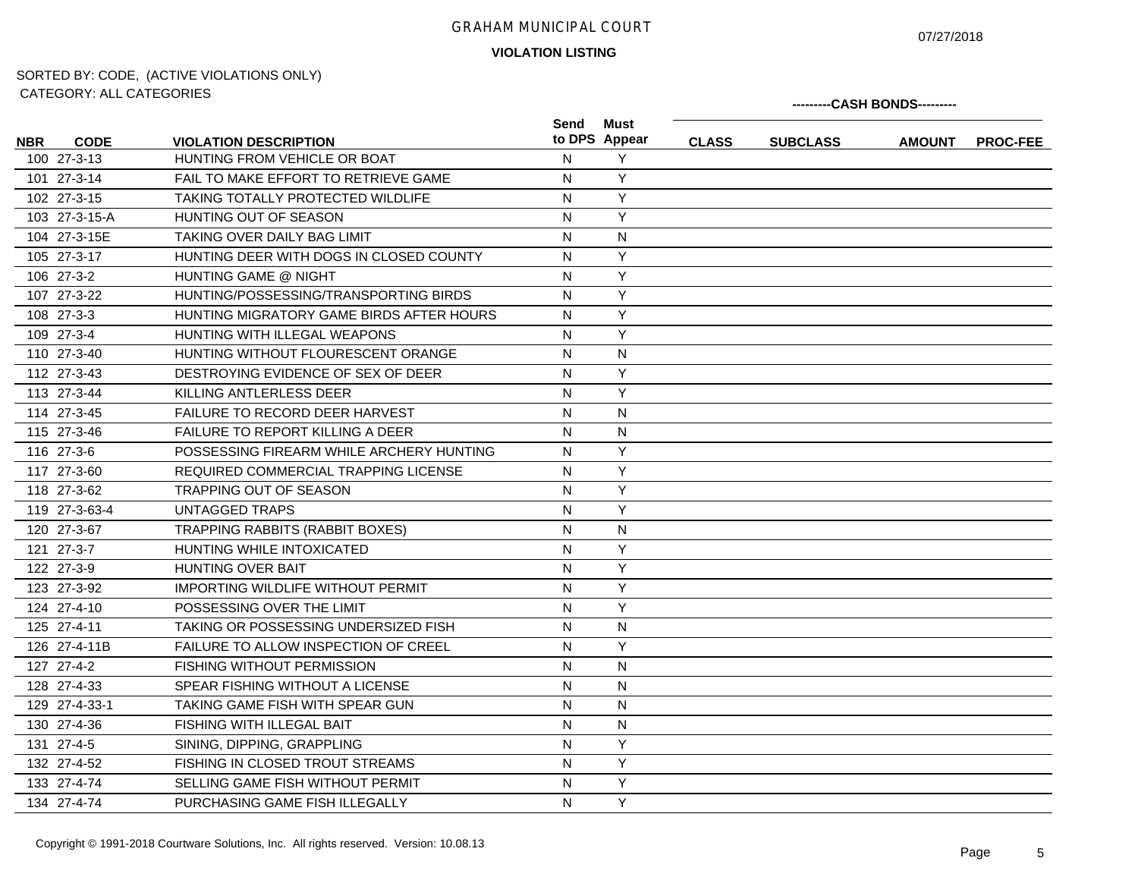07/27/2018

**---------CASH BONDS---------**

**VIOLATION LISTING**

|                           |                                          | Must<br>Send<br>to DPS Appear |              |                 |               |                 |
|---------------------------|------------------------------------------|-------------------------------|--------------|-----------------|---------------|-----------------|
| <b>CODE</b><br><b>NBR</b> | <b>VIOLATION DESCRIPTION</b>             |                               | <b>CLASS</b> | <b>SUBCLASS</b> | <b>AMOUNT</b> | <b>PROC-FEE</b> |
| 100 27-3-13               | HUNTING FROM VEHICLE OR BOAT             | Y<br>N                        |              |                 |               |                 |
| 101 27-3-14               | FAIL TO MAKE EFFORT TO RETRIEVE GAME     | Y<br>N                        |              |                 |               |                 |
| 102 27-3-15               | TAKING TOTALLY PROTECTED WILDLIFE        | Y<br>N                        |              |                 |               |                 |
| 103 27-3-15-A             | HUNTING OUT OF SEASON                    | Y<br>$\mathsf{N}$             |              |                 |               |                 |
| 104 27-3-15E              | TAKING OVER DAILY BAG LIMIT              | N<br>N                        |              |                 |               |                 |
| 105 27-3-17               | HUNTING DEER WITH DOGS IN CLOSED COUNTY  | Υ<br>N                        |              |                 |               |                 |
| 106 27-3-2                | <b>HUNTING GAME @ NIGHT</b>              | Υ<br>$\mathsf{N}$             |              |                 |               |                 |
| 107 27-3-22               | HUNTING/POSSESSING/TRANSPORTING BIRDS    | Y<br>N                        |              |                 |               |                 |
| 108 27-3-3                | HUNTING MIGRATORY GAME BIRDS AFTER HOURS | Y<br>N                        |              |                 |               |                 |
| 109 27-3-4                | HUNTING WITH ILLEGAL WEAPONS             | Y<br>N                        |              |                 |               |                 |
| 110 27-3-40               | HUNTING WITHOUT FLOURESCENT ORANGE       | N<br>N                        |              |                 |               |                 |
| 112 27-3-43               | DESTROYING EVIDENCE OF SEX OF DEER       | Y<br>N                        |              |                 |               |                 |
| 113 27-3-44               | KILLING ANTLERLESS DEER                  | Y<br>N                        |              |                 |               |                 |
| 114 27-3-45               | FAILURE TO RECORD DEER HARVEST           | N<br>N                        |              |                 |               |                 |
| 115 27-3-46               | FAILURE TO REPORT KILLING A DEER         | N<br>N                        |              |                 |               |                 |
| 116 27-3-6                | POSSESSING FIREARM WHILE ARCHERY HUNTING | Y<br>$\mathsf{N}$             |              |                 |               |                 |
| 117 27-3-60               | REQUIRED COMMERCIAL TRAPPING LICENSE     | Y<br>N                        |              |                 |               |                 |
| 118 27-3-62               | <b>TRAPPING OUT OF SEASON</b>            | Y<br>N                        |              |                 |               |                 |
| 119 27-3-63-4             | <b>UNTAGGED TRAPS</b>                    | Υ<br>N                        |              |                 |               |                 |
| 120 27-3-67               | <b>TRAPPING RABBITS (RABBIT BOXES)</b>   | $\overline{N}$<br>N           |              |                 |               |                 |
| 121 27-3-7                | HUNTING WHILE INTOXICATED                | Y<br>$\mathsf{N}$             |              |                 |               |                 |
| 122 27-3-9                | <b>HUNTING OVER BAIT</b>                 | Υ<br>$\mathsf{N}$             |              |                 |               |                 |
| 123 27-3-92               | <b>IMPORTING WILDLIFE WITHOUT PERMIT</b> | Y<br>$\mathsf{N}$             |              |                 |               |                 |
| 124 27-4-10               | POSSESSING OVER THE LIMIT                | Y<br>$\mathsf{N}$             |              |                 |               |                 |
| 125 27-4-11               | TAKING OR POSSESSING UNDERSIZED FISH     | N<br>N                        |              |                 |               |                 |
| 126 27-4-11B              | FAILURE TO ALLOW INSPECTION OF CREEL     | Υ<br>N                        |              |                 |               |                 |
| 127 27-4-2                | <b>FISHING WITHOUT PERMISSION</b>        | N<br>N                        |              |                 |               |                 |
| 128 27-4-33               | SPEAR FISHING WITHOUT A LICENSE          | N<br>N                        |              |                 |               |                 |
| 129 27-4-33-1             | TAKING GAME FISH WITH SPEAR GUN          | N<br>N                        |              |                 |               |                 |
| 130 27-4-36               | FISHING WITH ILLEGAL BAIT                | N<br>N                        |              |                 |               |                 |
| 131 27-4-5                | SINING, DIPPING, GRAPPLING               | Y<br>N                        |              |                 |               |                 |
| 132 27-4-52               | FISHING IN CLOSED TROUT STREAMS          | Y<br>N                        |              |                 |               |                 |
| 133 27-4-74               | SELLING GAME FISH WITHOUT PERMIT         | Y<br>N                        |              |                 |               |                 |
| 134 27-4-74               | PURCHASING GAME FISH ILLEGALLY           | Y<br>N                        |              |                 |               |                 |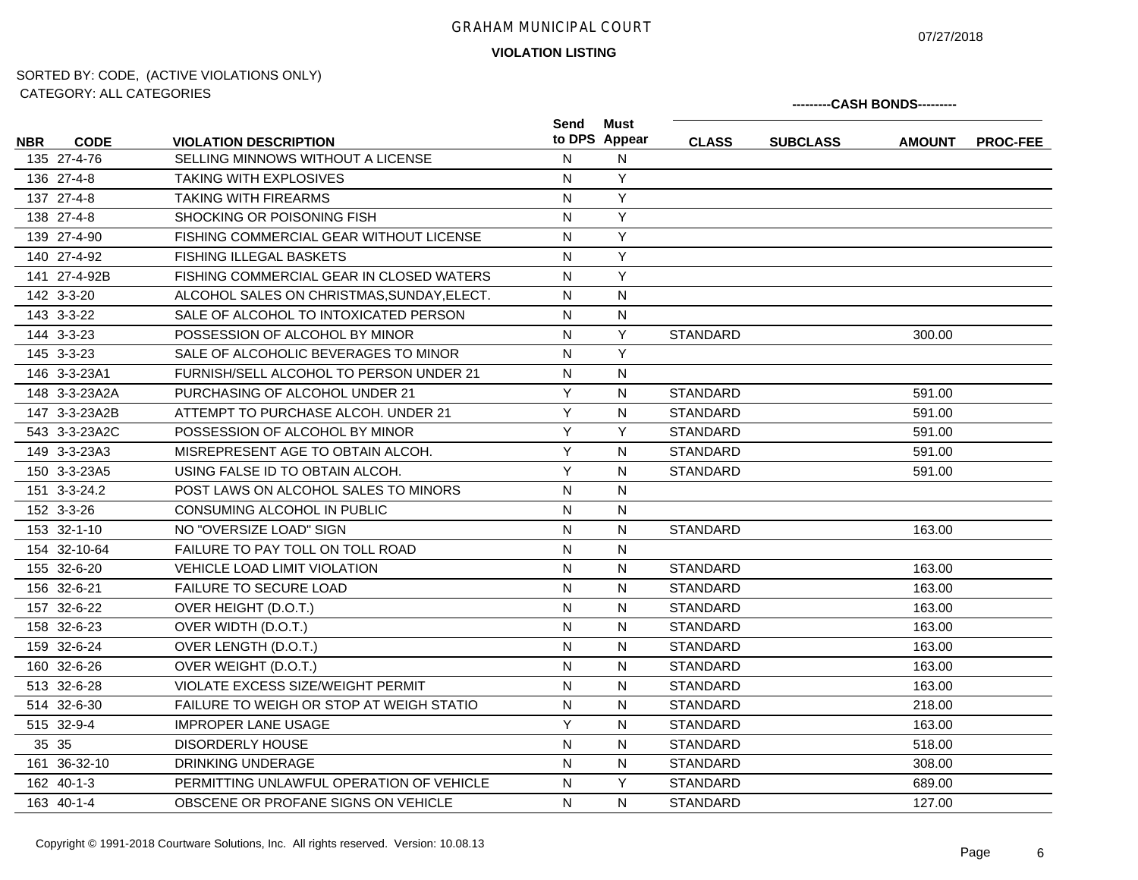07/27/2018

**VIOLATION LISTING**

|      |               | <b>UATEUURT. ALL UATEUURIES</b>                                   |                |                       | ---------CASH BONDS--------- |                 |               |          |  |  |  |
|------|---------------|-------------------------------------------------------------------|----------------|-----------------------|------------------------------|-----------------|---------------|----------|--|--|--|
|      | <b>CODE</b>   |                                                                   | Send           | Must<br>to DPS Appear | <b>CLASS</b>                 |                 |               |          |  |  |  |
| NBR. | 135 27-4-76   | <b>VIOLATION DESCRIPTION</b><br>SELLING MINNOWS WITHOUT A LICENSE | N              | N                     |                              | <b>SUBCLASS</b> | <b>AMOUNT</b> | PROC-FEE |  |  |  |
|      | 136 27-4-8    | <b>TAKING WITH EXPLOSIVES</b>                                     | $\mathsf{N}$   | Y                     |                              |                 |               |          |  |  |  |
|      | 137 27-4-8    | <b>TAKING WITH FIREARMS</b>                                       | ${\sf N}$      | Y                     |                              |                 |               |          |  |  |  |
|      | 138 27-4-8    | SHOCKING OR POISONING FISH                                        | $\mathsf{N}$   | Y                     |                              |                 |               |          |  |  |  |
|      | 139 27-4-90   | FISHING COMMERCIAL GEAR WITHOUT LICENSE                           | N              | Y                     |                              |                 |               |          |  |  |  |
|      | 140 27-4-92   | FISHING ILLEGAL BASKETS                                           | N              | Y                     |                              |                 |               |          |  |  |  |
|      | 141 27-4-92B  | FISHING COMMERCIAL GEAR IN CLOSED WATERS                          | $\mathsf{N}$   | Y                     |                              |                 |               |          |  |  |  |
|      | 142 3-3-20    | ALCOHOL SALES ON CHRISTMAS, SUNDAY, ELECT.                        | $\mathsf{N}$   | $\mathsf{N}$          |                              |                 |               |          |  |  |  |
|      | 143 3-3-22    | SALE OF ALCOHOL TO INTOXICATED PERSON                             | $\mathsf{N}$   | N                     |                              |                 |               |          |  |  |  |
|      | 144 3-3-23    | POSSESSION OF ALCOHOL BY MINOR                                    | ${\sf N}$      | Y                     | <b>STANDARD</b>              |                 | 300.00        |          |  |  |  |
|      | 145 3-3-23    | SALE OF ALCOHOLIC BEVERAGES TO MINOR                              | ${\sf N}$      | Y                     |                              |                 |               |          |  |  |  |
|      | 146 3-3-23A1  | FURNISH/SELL ALCOHOL TO PERSON UNDER 21                           | $\mathsf{N}$   | N                     |                              |                 |               |          |  |  |  |
|      | 148 3-3-23A2A | PURCHASING OF ALCOHOL UNDER 21                                    | Y              | N                     | <b>STANDARD</b>              |                 | 591.00        |          |  |  |  |
|      | 147 3-3-23A2B | ATTEMPT TO PURCHASE ALCOH, UNDER 21                               | $\overline{Y}$ | N                     | <b>STANDARD</b>              |                 | 591.00        |          |  |  |  |
|      | 543 3-3-23A2C | POSSESSION OF ALCOHOL BY MINOR                                    | Y              | Y                     | <b>STANDARD</b>              |                 | 591.00        |          |  |  |  |
|      | 149 3-3-23A3  | MISREPRESENT AGE TO OBTAIN ALCOH.                                 | Y              | N                     | <b>STANDARD</b>              |                 | 591.00        |          |  |  |  |
|      | 150 3-3-23A5  | USING FALSE ID TO OBTAIN ALCOH.                                   | Y              | N                     | <b>STANDARD</b>              |                 | 591.00        |          |  |  |  |
|      | 151 3-3-24.2  | POST LAWS ON ALCOHOL SALES TO MINORS                              | N              | N                     |                              |                 |               |          |  |  |  |
|      | 152 3-3-26    | CONSUMING ALCOHOL IN PUBLIC                                       | N              | N                     |                              |                 |               |          |  |  |  |
|      | 153 32-1-10   | NO "OVERSIZE LOAD" SIGN                                           | $\mathsf{N}$   | $\mathsf{N}$          | <b>STANDARD</b>              |                 | 163.00        |          |  |  |  |
|      | 154 32-10-64  | FAILURE TO PAY TOLL ON TOLL ROAD                                  | ${\sf N}$      | N                     |                              |                 |               |          |  |  |  |
|      | 155 32-6-20   | VEHICLE LOAD LIMIT VIOLATION                                      | $\mathsf{N}$   | N                     | <b>STANDARD</b>              |                 | 163.00        |          |  |  |  |
|      | 156 32-6-21   | FAILURE TO SECURE LOAD                                            | N              | N                     | <b>STANDARD</b>              |                 | 163.00        |          |  |  |  |
|      | 157 32-6-22   | OVER HEIGHT (D.O.T.)                                              | ${\sf N}$      | N                     | <b>STANDARD</b>              |                 | 163.00        |          |  |  |  |
|      | 158 32-6-23   | OVER WIDTH (D.O.T.)                                               | $\mathsf{N}$   | N                     | <b>STANDARD</b>              |                 | 163.00        |          |  |  |  |
|      | 159 32-6-24   | OVER LENGTH (D.O.T.)                                              | N              | N                     | <b>STANDARD</b>              |                 | 163.00        |          |  |  |  |
|      | 160 32-6-26   | OVER WEIGHT (D.O.T.)                                              | $\mathsf{N}$   | N                     | <b>STANDARD</b>              |                 | 163.00        |          |  |  |  |
|      | 513 32-6-28   | VIOLATE EXCESS SIZE/WEIGHT PERMIT                                 | N              | N                     | <b>STANDARD</b>              |                 | 163.00        |          |  |  |  |
|      | 514 32-6-30   | FAILURE TO WEIGH OR STOP AT WEIGH STATIO                          | N              | N                     | <b>STANDARD</b>              |                 | 218.00        |          |  |  |  |
|      | 515 32-9-4    | <b>IMPROPER LANE USAGE</b>                                        | Y              | N                     | <b>STANDARD</b>              |                 | 163.00        |          |  |  |  |
|      | 35 35         | <b>DISORDERLY HOUSE</b>                                           | N              | N                     | <b>STANDARD</b>              |                 | 518.00        |          |  |  |  |
|      | 161 36-32-10  | DRINKING UNDERAGE                                                 | N              | N                     | <b>STANDARD</b>              |                 | 308.00        |          |  |  |  |
|      | 162 40-1-3    | PERMITTING UNLAWFUL OPERATION OF VEHICLE                          | $\mathsf{N}$   | Y                     | <b>STANDARD</b>              |                 | 689.00        |          |  |  |  |
|      | 163 40-1-4    | OBSCENE OR PROFANE SIGNS ON VEHICLE                               | N              | N                     | <b>STANDARD</b>              |                 | 127.00        |          |  |  |  |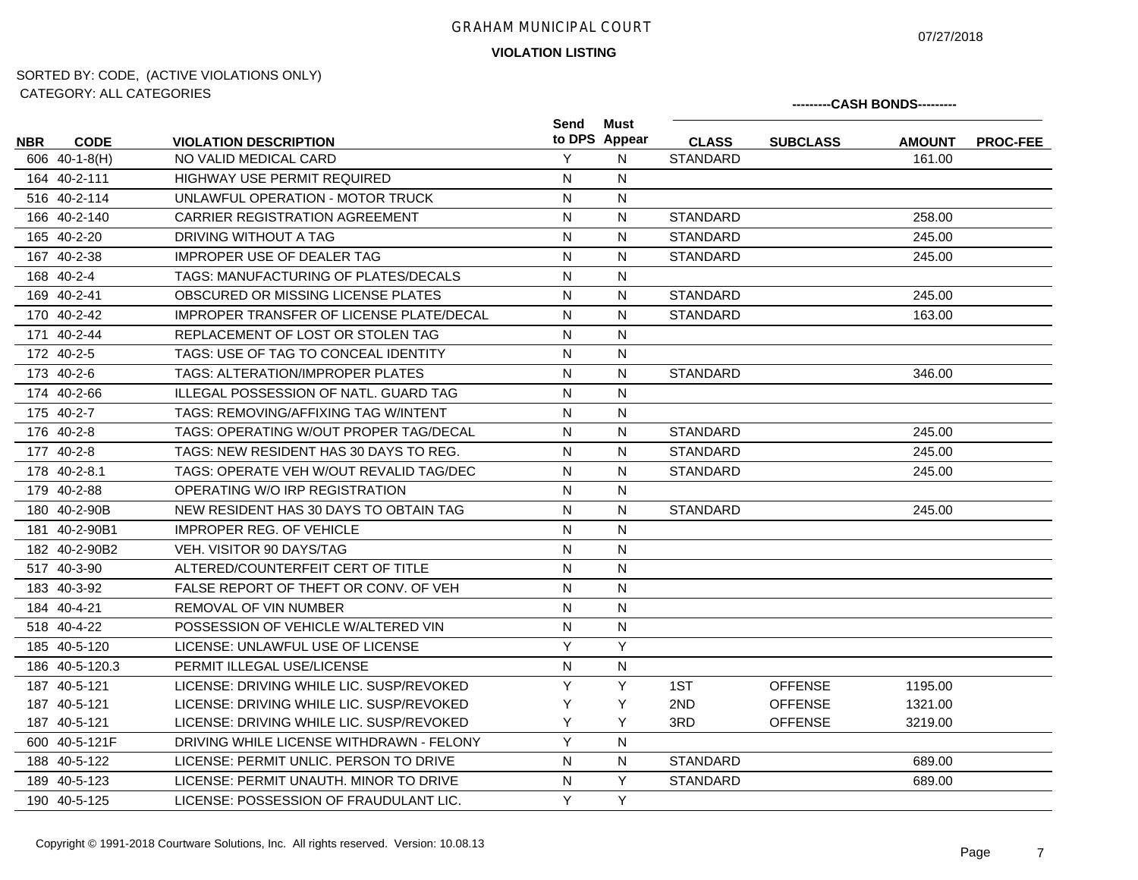07/27/2018

## **VIOLATION LISTING**

|            | 0111LOUINT. 71LL 0711LOUINLU |                                                 |              |                       |                 |                 | ---------CASH BONDS--------- |                 |
|------------|------------------------------|-------------------------------------------------|--------------|-----------------------|-----------------|-----------------|------------------------------|-----------------|
| <b>NBR</b> | <b>CODE</b>                  | <b>VIOLATION DESCRIPTION</b>                    | Send         | Must<br>to DPS Appear | <b>CLASS</b>    | <b>SUBCLASS</b> | <b>AMOUNT</b>                | <b>PROC-FEE</b> |
|            | 606 40-1-8(H)                | NO VALID MEDICAL CARD                           | Y            | N                     | <b>STANDARD</b> |                 | 161.00                       |                 |
|            | 164 40-2-111                 | <b>HIGHWAY USE PERMIT REQUIRED</b>              | N            | N                     |                 |                 |                              |                 |
|            | 516 40-2-114                 | UNLAWFUL OPERATION - MOTOR TRUCK                | N            | N                     |                 |                 |                              |                 |
|            | 166 40-2-140                 | <b>CARRIER REGISTRATION AGREEMENT</b>           | $\mathsf{N}$ | N                     | <b>STANDARD</b> |                 | 258.00                       |                 |
|            | 165 40-2-20                  | DRIVING WITHOUT A TAG                           | ${\sf N}$    | N                     | <b>STANDARD</b> |                 | 245.00                       |                 |
|            | 167 40-2-38                  | <b>IMPROPER USE OF DEALER TAG</b>               | $\mathsf{N}$ | N                     | <b>STANDARD</b> |                 | 245.00                       |                 |
|            | 168 40-2-4                   | TAGS: MANUFACTURING OF PLATES/DECALS            | N            | N                     |                 |                 |                              |                 |
|            | 169 40-2-41                  | OBSCURED OR MISSING LICENSE PLATES              | N            | N                     | <b>STANDARD</b> |                 | 245.00                       |                 |
|            | 170 40-2-42                  | <b>IMPROPER TRANSFER OF LICENSE PLATE/DECAL</b> | N            | N                     | <b>STANDARD</b> |                 | 163.00                       |                 |
|            | 171 40-2-44                  | REPLACEMENT OF LOST OR STOLEN TAG               | ${\sf N}$    | N                     |                 |                 |                              |                 |
|            | 172 40-2-5                   | TAGS: USE OF TAG TO CONCEAL IDENTITY            | ${\sf N}$    | N                     |                 |                 |                              |                 |
|            | 173 40-2-6                   | TAGS: ALTERATION/IMPROPER PLATES                | N            | N                     | <b>STANDARD</b> |                 | 346.00                       |                 |
|            | 174 40-2-66                  | ILLEGAL POSSESSION OF NATL. GUARD TAG           | ${\sf N}$    | ${\sf N}$             |                 |                 |                              |                 |
|            | 175 40-2-7                   | TAGS: REMOVING/AFFIXING TAG W/INTENT            | ${\sf N}$    | N                     |                 |                 |                              |                 |
|            | 176 40-2-8                   | TAGS: OPERATING W/OUT PROPER TAG/DECAL          | N            | N                     | <b>STANDARD</b> |                 | 245.00                       |                 |
|            | 177 40-2-8                   | TAGS: NEW RESIDENT HAS 30 DAYS TO REG.          | N            | N                     | <b>STANDARD</b> |                 | 245.00                       |                 |
|            | 178 40-2-8.1                 | TAGS: OPERATE VEH W/OUT REVALID TAG/DEC         | N            | N                     | <b>STANDARD</b> |                 | 245.00                       |                 |
|            | 179 40-2-88                  | OPERATING W/O IRP REGISTRATION                  | N            | N                     |                 |                 |                              |                 |
|            | 180 40-2-90B                 | NEW RESIDENT HAS 30 DAYS TO OBTAIN TAG          | ${\sf N}$    | N                     | <b>STANDARD</b> |                 | 245.00                       |                 |
|            | 181 40-2-90B1                | <b>IMPROPER REG. OF VEHICLE</b>                 | $\mathsf{N}$ | N                     |                 |                 |                              |                 |
|            | 182 40-2-90B2                | <b>VEH. VISITOR 90 DAYS/TAG</b>                 | N            | N                     |                 |                 |                              |                 |
|            | 517 40-3-90                  | ALTERED/COUNTERFEIT CERT OF TITLE               | N            | N                     |                 |                 |                              |                 |
|            | 183 40-3-92                  | FALSE REPORT OF THEFT OR CONV. OF VEH           | N            | N                     |                 |                 |                              |                 |
|            | 184 40-4-21                  | <b>REMOVAL OF VIN NUMBER</b>                    | N            | N                     |                 |                 |                              |                 |
|            | 518 40-4-22                  | POSSESSION OF VEHICLE W/ALTERED VIN             | ${\sf N}$    | N                     |                 |                 |                              |                 |
|            | 185 40-5-120                 | LICENSE: UNLAWFUL USE OF LICENSE                | Y            | Y                     |                 |                 |                              |                 |
|            | 186 40-5-120.3               | PERMIT ILLEGAL USE/LICENSE                      | N            | N                     |                 |                 |                              |                 |
|            | 187 40-5-121                 | LICENSE: DRIVING WHILE LIC. SUSP/REVOKED        | Y            | Y                     | 1ST             | <b>OFFENSE</b>  | 1195.00                      |                 |
|            | 187 40-5-121                 | LICENSE: DRIVING WHILE LIC. SUSP/REVOKED        | Y            | Y                     | 2ND             | <b>OFFENSE</b>  | 1321.00                      |                 |
|            | 187 40-5-121                 | LICENSE: DRIVING WHILE LIC. SUSP/REVOKED        | Y            | Y                     | 3RD             | <b>OFFENSE</b>  | 3219.00                      |                 |
|            | 600 40-5-121F                | DRIVING WHILE LICENSE WITHDRAWN - FELONY        | Y            | N                     |                 |                 |                              |                 |
|            | 188 40-5-122                 | LICENSE: PERMIT UNLIC. PERSON TO DRIVE          | N            | N.                    | <b>STANDARD</b> |                 | 689.00                       |                 |
|            | 189 40-5-123                 | LICENSE: PERMIT UNAUTH. MINOR TO DRIVE          | N            | Y                     | <b>STANDARD</b> |                 | 689.00                       |                 |
|            | 190 40-5-125                 | LICENSE: POSSESSION OF FRAUDULANT LIC.          | Y            | Y                     |                 |                 |                              |                 |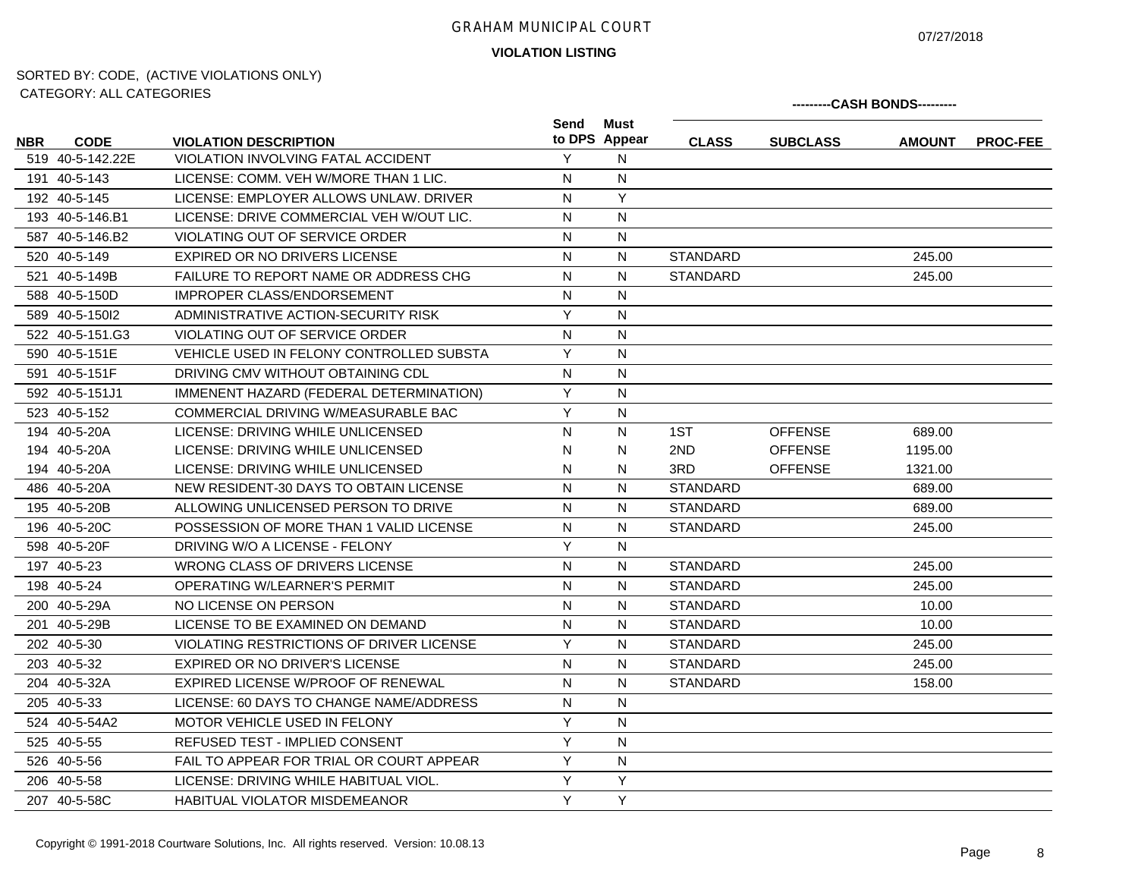07/27/2018

**VIOLATION LISTING**

|            | 0711 LOUINT. 71LL 0711 LOUINED |                                              |              |                       |                 |                 | ---------CASH BONDS--------- |                 |
|------------|--------------------------------|----------------------------------------------|--------------|-----------------------|-----------------|-----------------|------------------------------|-----------------|
| <b>NBR</b> | <b>CODE</b>                    | <b>VIOLATION DESCRIPTION</b>                 | Send         | Must<br>to DPS Appear | <b>CLASS</b>    | <b>SUBCLASS</b> | <b>AMOUNT</b>                | <b>PROC-FEE</b> |
|            | 519 40-5-142.22E               | <b>VIOLATION INVOLVING FATAL ACCIDENT</b>    | Y            | N                     |                 |                 |                              |                 |
|            | 191 40-5-143                   | LICENSE: COMM. VEH W/MORE THAN 1 LIC.        | N            | ${\sf N}$             |                 |                 |                              |                 |
|            | 192 40-5-145                   | LICENSE: EMPLOYER ALLOWS UNLAW. DRIVER       | N            | Y                     |                 |                 |                              |                 |
|            | 193 40-5-146.B1                | LICENSE: DRIVE COMMERCIAL VEH W/OUT LIC.     | $\mathsf{N}$ | N                     |                 |                 |                              |                 |
|            | 587 40-5-146.B2                | <b>VIOLATING OUT OF SERVICE ORDER</b>        | N            | N                     |                 |                 |                              |                 |
|            | 520 40-5-149                   | EXPIRED OR NO DRIVERS LICENSE                | N            | N                     | <b>STANDARD</b> |                 | 245.00                       |                 |
|            | 521 40-5-149B                  | <b>FAILURE TO REPORT NAME OR ADDRESS CHG</b> | N            | N                     | <b>STANDARD</b> |                 | 245.00                       |                 |
|            | 588 40-5-150D                  | IMPROPER CLASS/ENDORSEMENT                   | N            | N                     |                 |                 |                              |                 |
|            | 589 40-5-15012                 | ADMINISTRATIVE ACTION-SECURITY RISK          | Y            | N                     |                 |                 |                              |                 |
|            | 522 40-5-151.G3                | VIOLATING OUT OF SERVICE ORDER               | N            | $\mathsf{N}$          |                 |                 |                              |                 |
|            | 590 40-5-151E                  | VEHICLE USED IN FELONY CONTROLLED SUBSTA     | Y            | N                     |                 |                 |                              |                 |
|            | 591 40-5-151F                  | DRIVING CMV WITHOUT OBTAINING CDL            | ${\sf N}$    | N                     |                 |                 |                              |                 |
|            | 592 40-5-151J1                 | IMMENENT HAZARD (FEDERAL DETERMINATION)      | Y            | $\mathsf{N}$          |                 |                 |                              |                 |
|            | 523 40-5-152                   | COMMERCIAL DRIVING W/MEASURABLE BAC          | Y            | N                     |                 |                 |                              |                 |
|            | 194 40-5-20A                   | LICENSE: DRIVING WHILE UNLICENSED            | N            | N                     | 1ST             | <b>OFFENSE</b>  | 689.00                       |                 |
|            | 194 40-5-20A                   | LICENSE: DRIVING WHILE UNLICENSED            | N            | N                     | 2ND             | <b>OFFENSE</b>  | 1195.00                      |                 |
|            | 194 40-5-20A                   | LICENSE: DRIVING WHILE UNLICENSED            | N            | N                     | 3RD             | <b>OFFENSE</b>  | 1321.00                      |                 |
|            | 486 40-5-20A                   | NEW RESIDENT-30 DAYS TO OBTAIN LICENSE       | $\mathsf{N}$ | N                     | <b>STANDARD</b> |                 | 689.00                       |                 |
|            | 195 40-5-20B                   | ALLOWING UNLICENSED PERSON TO DRIVE          | N            | N                     | <b>STANDARD</b> |                 | 689.00                       |                 |
|            | 196 40-5-20C                   | POSSESSION OF MORE THAN 1 VALID LICENSE      | $\mathsf{N}$ | N                     | <b>STANDARD</b> |                 | 245.00                       |                 |
|            | 598 40-5-20F                   | DRIVING W/O A LICENSE - FELONY               | Y            | N                     |                 |                 |                              |                 |
|            | 197 40-5-23                    | WRONG CLASS OF DRIVERS LICENSE               | N            | N                     | <b>STANDARD</b> |                 | 245.00                       |                 |
|            | 198 40-5-24                    | OPERATING W/LEARNER'S PERMIT                 | N            | N                     | <b>STANDARD</b> |                 | 245.00                       |                 |
|            | 200 40-5-29A                   | NO LICENSE ON PERSON                         | N            | N                     | <b>STANDARD</b> |                 | 10.00                        |                 |
|            | 201 40-5-29B                   | LICENSE TO BE EXAMINED ON DEMAND             | N            | N                     | <b>STANDARD</b> |                 | 10.00                        |                 |
|            | 202 40-5-30                    | VIOLATING RESTRICTIONS OF DRIVER LICENSE     | Y            | N                     | <b>STANDARD</b> |                 | 245.00                       |                 |
|            | 203 40-5-32                    | EXPIRED OR NO DRIVER'S LICENSE               | N            | N                     | <b>STANDARD</b> |                 | 245.00                       |                 |
|            | 204 40-5-32A                   | EXPIRED LICENSE W/PROOF OF RENEWAL           | N            | N                     | <b>STANDARD</b> |                 | 158.00                       |                 |
|            | 205 40-5-33                    | LICENSE: 60 DAYS TO CHANGE NAME/ADDRESS      | N            | N                     |                 |                 |                              |                 |
|            | 524 40-5-54A2                  | <b>MOTOR VEHICLE USED IN FELONY</b>          | Y            | N                     |                 |                 |                              |                 |
|            | 525 40-5-55                    | <b>REFUSED TEST - IMPLIED CONSENT</b>        | Y            | N                     |                 |                 |                              |                 |
|            | 526 40-5-56                    | FAIL TO APPEAR FOR TRIAL OR COURT APPEAR     | Y            | $\mathsf{N}$          |                 |                 |                              |                 |
|            | 206 40-5-58                    | LICENSE: DRIVING WHILE HABITUAL VIOL.        | Y            | Y                     |                 |                 |                              |                 |
|            | 207 40-5-58C                   | <b>HABITUAL VIOLATOR MISDEMEANOR</b>         | Y            | Y                     |                 |                 |                              |                 |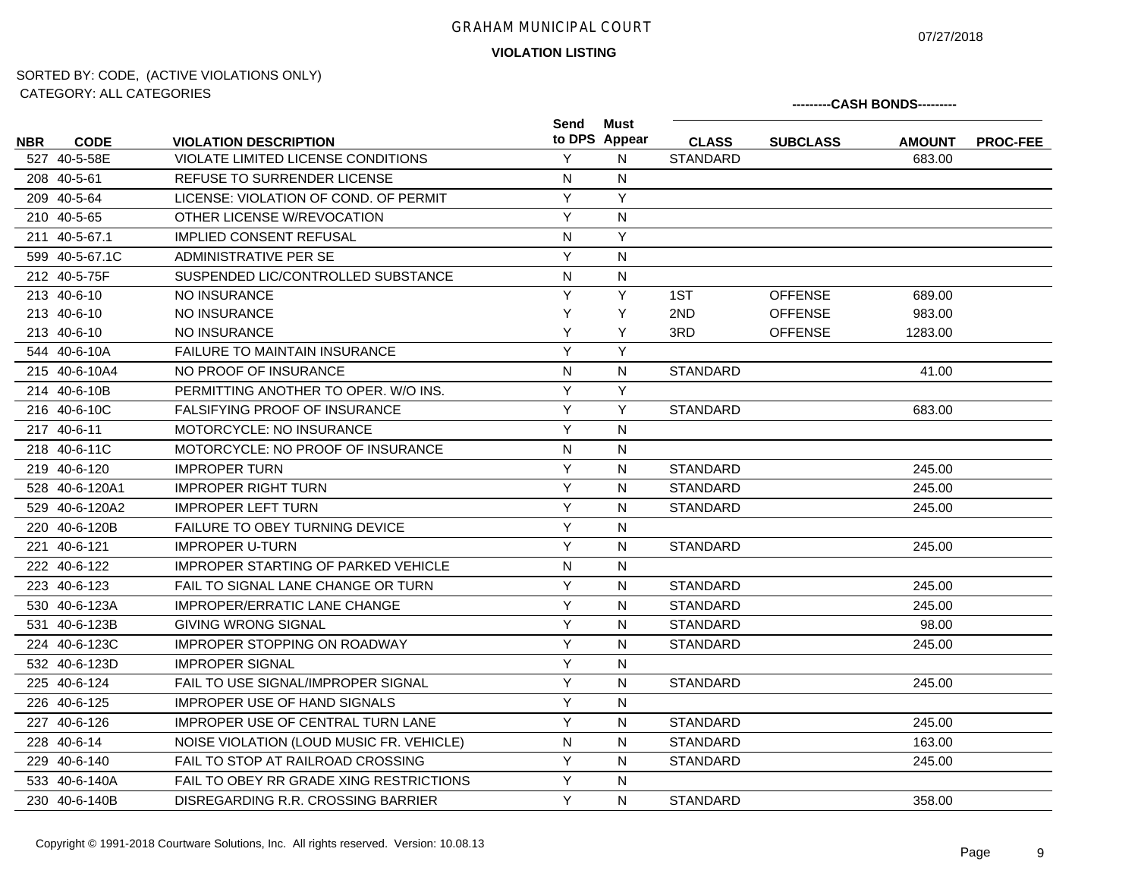07/27/2018

**VIOLATION LISTING**

|            | <u>UATLOUITI. ALL UATLOUITLU</u> |                                            |              |                       |                 |                 | ---------CASH BONDS--------- |                 |
|------------|----------------------------------|--------------------------------------------|--------------|-----------------------|-----------------|-----------------|------------------------------|-----------------|
| <b>NBR</b> | <b>CODE</b>                      | <b>VIOLATION DESCRIPTION</b>               | Send         | Must<br>to DPS Appear | <b>CLASS</b>    | <b>SUBCLASS</b> | <b>AMOUNT</b>                | <b>PROC-FEE</b> |
|            | 527 40-5-58E                     | VIOLATE LIMITED LICENSE CONDITIONS         | Y            | N                     | <b>STANDARD</b> |                 | 683.00                       |                 |
|            | 208 40-5-61                      | <b>REFUSE TO SURRENDER LICENSE</b>         | $\mathsf{N}$ | N                     |                 |                 |                              |                 |
|            | 209 40-5-64                      | LICENSE: VIOLATION OF COND. OF PERMIT      | Y            | Y                     |                 |                 |                              |                 |
|            | 210 40-5-65                      | OTHER LICENSE W/REVOCATION                 | Y            | N                     |                 |                 |                              |                 |
|            | 211 40-5-67.1                    | <b>IMPLIED CONSENT REFUSAL</b>             | N            | Y                     |                 |                 |                              |                 |
|            | 599 40-5-67.1C                   | <b>ADMINISTRATIVE PER SE</b>               | Y            | N                     |                 |                 |                              |                 |
|            | 212 40-5-75F                     | SUSPENDED LIC/CONTROLLED SUBSTANCE         | N            | N                     |                 |                 |                              |                 |
|            | 213 40-6-10                      | NO INSURANCE                               | Y            | Y                     | 1ST             | <b>OFFENSE</b>  | 689.00                       |                 |
|            | 213 40-6-10                      | NO INSURANCE                               | Y            | Y                     | 2ND             | <b>OFFENSE</b>  | 983.00                       |                 |
|            | 213 40-6-10                      | NO INSURANCE                               | Y            | Y                     | 3RD             | <b>OFFENSE</b>  | 1283.00                      |                 |
|            | 544 40-6-10A                     | <b>FAILURE TO MAINTAIN INSURANCE</b>       | Y            | Y                     |                 |                 |                              |                 |
|            | 215 40-6-10A4                    | NO PROOF OF INSURANCE                      | ${\sf N}$    | N                     | STANDARD        |                 | 41.00                        |                 |
|            | 214 40-6-10B                     | PERMITTING ANOTHER TO OPER. W/O INS.       | Y            | Y                     |                 |                 |                              |                 |
|            | 216 40-6-10C                     | <b>FALSIFYING PROOF OF INSURANCE</b>       | Y            | Y                     | <b>STANDARD</b> |                 | 683.00                       |                 |
|            | 217 40-6-11                      | <b>MOTORCYCLE: NO INSURANCE</b>            | Y            | N                     |                 |                 |                              |                 |
|            | 218 40-6-11C                     | MOTORCYCLE: NO PROOF OF INSURANCE          | N            | N                     |                 |                 |                              |                 |
|            | 219 40-6-120                     | <b>IMPROPER TURN</b>                       | Υ            | N                     | STANDARD        |                 | 245.00                       |                 |
|            | 528 40-6-120A1                   | <b>IMPROPER RIGHT TURN</b>                 | Y            | N                     | <b>STANDARD</b> |                 | 245.00                       |                 |
|            | 529 40-6-120A2                   | <b>IMPROPER LEFT TURN</b>                  | Y            | N                     | STANDARD        |                 | 245.00                       |                 |
|            | 220 40-6-120B                    | <b>FAILURE TO OBEY TURNING DEVICE</b>      | Y            | N                     |                 |                 |                              |                 |
|            | 221 40-6-121                     | <b>IMPROPER U-TURN</b>                     | Y            | N                     | STANDARD        |                 | 245.00                       |                 |
|            | 222 40-6-122                     | <b>IMPROPER STARTING OF PARKED VEHICLE</b> | N            | N                     |                 |                 |                              |                 |
|            | 223 40-6-123                     | FAIL TO SIGNAL LANE CHANGE OR TURN         | Y            | N                     | <b>STANDARD</b> |                 | 245.00                       |                 |
|            | 530 40-6-123A                    | <b>IMPROPER/ERRATIC LANE CHANGE</b>        | Y            | N                     | <b>STANDARD</b> |                 | 245.00                       |                 |
|            | 531 40-6-123B                    | <b>GIVING WRONG SIGNAL</b>                 | Y            | N                     | <b>STANDARD</b> |                 | 98.00                        |                 |
|            | 224 40-6-123C                    | <b>IMPROPER STOPPING ON ROADWAY</b>        | Y            | N                     | STANDARD        |                 | 245.00                       |                 |
|            | 532 40-6-123D                    | <b>IMPROPER SIGNAL</b>                     | Y            | N                     |                 |                 |                              |                 |
|            | 225 40-6-124                     | FAIL TO USE SIGNAL/IMPROPER SIGNAL         | Y            | N                     | <b>STANDARD</b> |                 | 245.00                       |                 |
|            | 226 40-6-125                     | <b>IMPROPER USE OF HAND SIGNALS</b>        | Y            | N                     |                 |                 |                              |                 |
|            | 227 40-6-126                     | <b>IMPROPER USE OF CENTRAL TURN LANE</b>   | Y            | N                     | <b>STANDARD</b> |                 | 245.00                       |                 |
|            | 228 40-6-14                      | NOISE VIOLATION (LOUD MUSIC FR. VEHICLE)   | N            | N                     | STANDARD        |                 | 163.00                       |                 |
|            | 229 40-6-140                     | FAIL TO STOP AT RAILROAD CROSSING          | Y            | N                     | STANDARD        |                 | 245.00                       |                 |
|            | 533 40-6-140A                    | FAIL TO OBEY RR GRADE XING RESTRICTIONS    | Y            | N                     |                 |                 |                              |                 |
|            | 230 40-6-140B                    | DISREGARDING R.R. CROSSING BARRIER         | Y            | N                     | <b>STANDARD</b> |                 | 358.00                       |                 |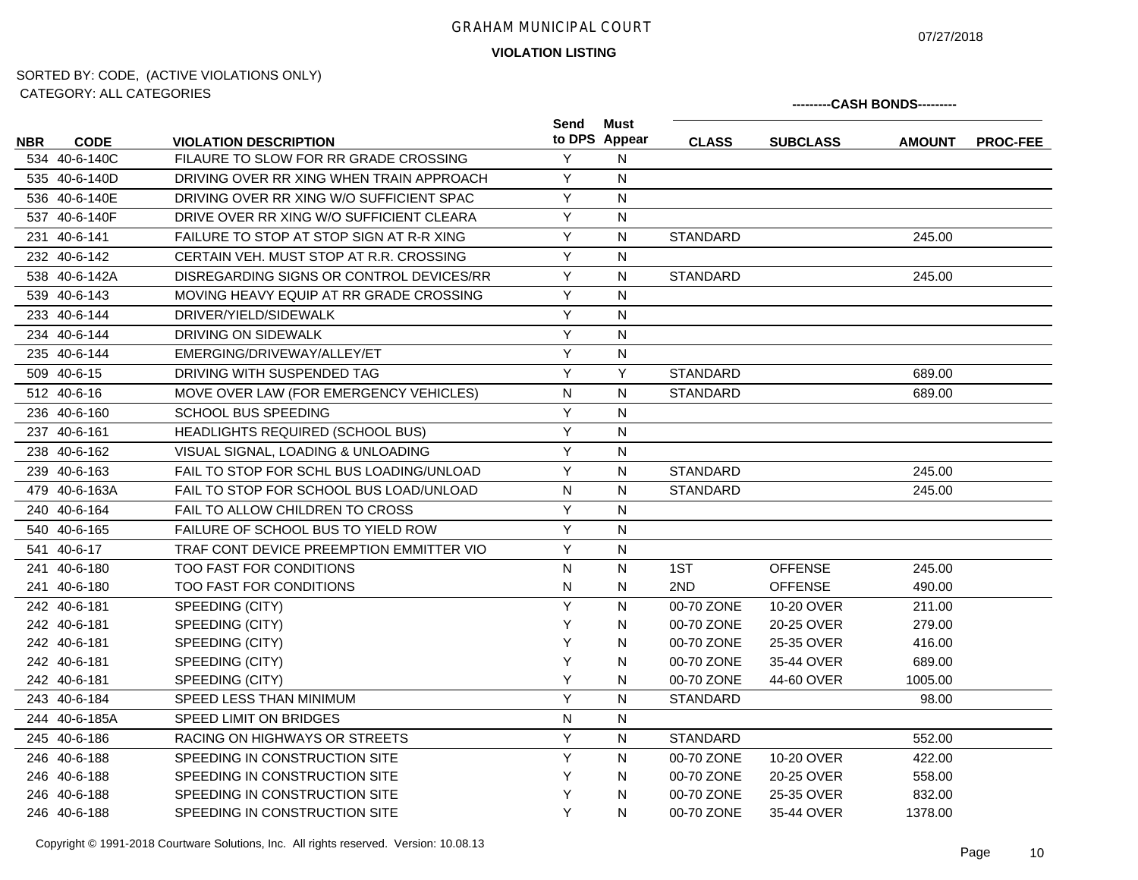07/27/2018

**---------CASH BONDS---------**

**VIOLATION LISTING**

# SORTED BY: CODE, (ACTIVE VIOLATIONS ONLY) CATEGORY: ALL CATEGORIES

|            |               |                                          | Send      | Must<br>to DPS Appear |                 |                 |               |                 |
|------------|---------------|------------------------------------------|-----------|-----------------------|-----------------|-----------------|---------------|-----------------|
| <b>NBR</b> | <b>CODE</b>   | <b>VIOLATION DESCRIPTION</b>             |           |                       | <b>CLASS</b>    | <b>SUBCLASS</b> | <b>AMOUNT</b> | <b>PROC-FEE</b> |
|            | 534 40-6-140C | FILAURE TO SLOW FOR RR GRADE CROSSING    | Y         | N                     |                 |                 |               |                 |
|            | 535 40-6-140D | DRIVING OVER RR XING WHEN TRAIN APPROACH | Y         | N                     |                 |                 |               |                 |
|            | 536 40-6-140E | DRIVING OVER RR XING W/O SUFFICIENT SPAC | Y         | N                     |                 |                 |               |                 |
|            | 537 40-6-140F | DRIVE OVER RR XING W/O SUFFICIENT CLEARA | Y         | N                     |                 |                 |               |                 |
|            | 231 40-6-141  | FAILURE TO STOP AT STOP SIGN AT R-R XING | Y         | N                     | <b>STANDARD</b> |                 | 245.00        |                 |
|            | 232 40-6-142  | CERTAIN VEH. MUST STOP AT R.R. CROSSING  | Y         | N                     |                 |                 |               |                 |
|            | 538 40-6-142A | DISREGARDING SIGNS OR CONTROL DEVICES/RR | Y         | N                     | <b>STANDARD</b> |                 | 245.00        |                 |
|            | 539 40-6-143  | MOVING HEAVY EQUIP AT RR GRADE CROSSING  | Y         | N                     |                 |                 |               |                 |
|            | 233 40-6-144  | DRIVER/YIELD/SIDEWALK                    | Y         | N                     |                 |                 |               |                 |
|            | 234 40-6-144  | DRIVING ON SIDEWALK                      | Y         | N                     |                 |                 |               |                 |
|            | 235 40-6-144  | EMERGING/DRIVEWAY/ALLEY/ET               | Y         | N                     |                 |                 |               |                 |
|            | 509 40-6-15   | DRIVING WITH SUSPENDED TAG               | Y         | Y                     | <b>STANDARD</b> |                 | 689.00        |                 |
|            | 512 40-6-16   | MOVE OVER LAW (FOR EMERGENCY VEHICLES)   | N         | N                     | <b>STANDARD</b> |                 | 689.00        |                 |
|            | 236 40-6-160  | <b>SCHOOL BUS SPEEDING</b>               | Y         | N                     |                 |                 |               |                 |
|            | 237 40-6-161  | HEADLIGHTS REQUIRED (SCHOOL BUS)         | Y         | N                     |                 |                 |               |                 |
|            | 238 40-6-162  | VISUAL SIGNAL, LOADING & UNLOADING       | Y         | N                     |                 |                 |               |                 |
|            | 239 40-6-163  | FAIL TO STOP FOR SCHL BUS LOADING/UNLOAD | Y         | N                     | <b>STANDARD</b> |                 | 245.00        |                 |
|            | 479 40-6-163A | FAIL TO STOP FOR SCHOOL BUS LOAD/UNLOAD  | N         | N                     | <b>STANDARD</b> |                 | 245.00        |                 |
|            | 240 40-6-164  | FAIL TO ALLOW CHILDREN TO CROSS          | Y         | N                     |                 |                 |               |                 |
|            | 540 40-6-165  | FAILURE OF SCHOOL BUS TO YIELD ROW       | Υ         | N                     |                 |                 |               |                 |
|            | 541 40-6-17   | TRAF CONT DEVICE PREEMPTION EMMITTER VIO | Y         | N                     |                 |                 |               |                 |
|            | 241 40-6-180  | TOO FAST FOR CONDITIONS                  | N         | N                     | 1ST             | <b>OFFENSE</b>  | 245.00        |                 |
|            | 241 40-6-180  | TOO FAST FOR CONDITIONS                  | N         | N                     | 2ND             | <b>OFFENSE</b>  | 490.00        |                 |
|            | 242 40-6-181  | SPEEDING (CITY)                          | Y         | N                     | 00-70 ZONE      | 10-20 OVER      | 211.00        |                 |
|            | 242 40-6-181  | SPEEDING (CITY)                          | Y         | N                     | 00-70 ZONE      | 20-25 OVER      | 279.00        |                 |
|            | 242 40-6-181  | SPEEDING (CITY)                          | Y         | N                     | 00-70 ZONE      | 25-35 OVER      | 416.00        |                 |
|            | 242 40-6-181  | SPEEDING (CITY)                          | Y         | N                     | 00-70 ZONE      | 35-44 OVER      | 689.00        |                 |
|            | 242 40-6-181  | SPEEDING (CITY)                          | Υ         | N                     | 00-70 ZONE      | 44-60 OVER      | 1005.00       |                 |
|            | 243 40-6-184  | SPEED LESS THAN MINIMUM                  | Y         | N                     | <b>STANDARD</b> |                 | 98.00         |                 |
|            | 244 40-6-185A | SPEED LIMIT ON BRIDGES                   | ${\sf N}$ | N                     |                 |                 |               |                 |
|            | 245 40-6-186  | RACING ON HIGHWAYS OR STREETS            | Y         | N                     | <b>STANDARD</b> |                 | 552.00        |                 |
|            | 246 40-6-188  | SPEEDING IN CONSTRUCTION SITE            | Y         | N                     | 00-70 ZONE      | 10-20 OVER      | 422.00        |                 |
|            | 246 40-6-188  | SPEEDING IN CONSTRUCTION SITE            | Y         | N                     | 00-70 ZONE      | 20-25 OVER      | 558.00        |                 |
|            | 246 40-6-188  | SPEEDING IN CONSTRUCTION SITE            | Υ         | N                     | 00-70 ZONE      | 25-35 OVER      | 832.00        |                 |
|            | 246 40-6-188  | SPEEDING IN CONSTRUCTION SITE            | Y         | N                     | 00-70 ZONE      | 35-44 OVER      | 1378.00       |                 |

Copyright © 1991-2018 Courtware Solutions, Inc. All rights reserved. Version: 10.08.13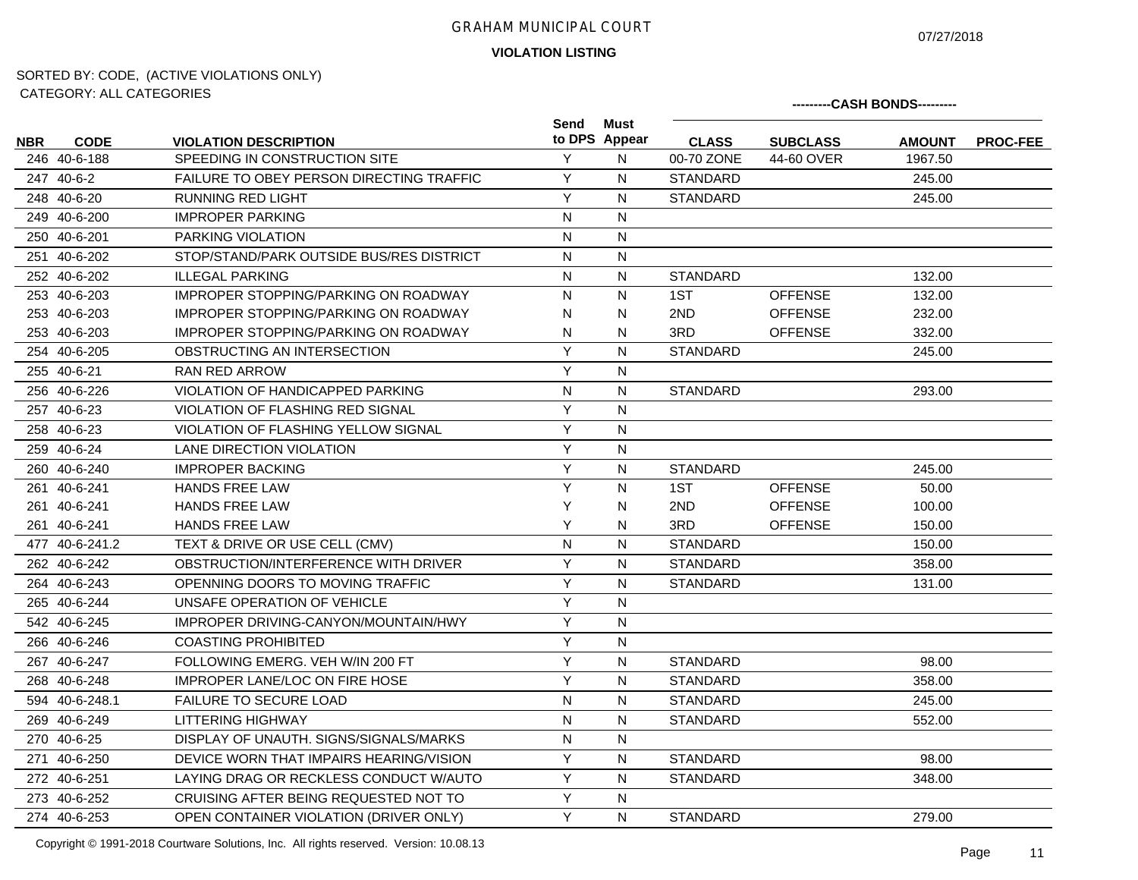07/27/2018

**VIOLATION LISTING**

# SORTED BY: CODE, (ACTIVE VIOLATIONS ONLY) CATEGORY: ALL CATEGORIES

|            | CATLOONT. ALL CATLOONILO |                                                 |                |                       |                 |                 | ---------CASH BONDS--------- |                 |
|------------|--------------------------|-------------------------------------------------|----------------|-----------------------|-----------------|-----------------|------------------------------|-----------------|
| <b>NBR</b> | <b>CODE</b>              | <b>VIOLATION DESCRIPTION</b>                    | Send           | Must<br>to DPS Appear | <b>CLASS</b>    | <b>SUBCLASS</b> | <b>AMOUNT</b>                | <b>PROC-FEE</b> |
|            | 246 40-6-188             | SPEEDING IN CONSTRUCTION SITE                   | Y              | N                     | 00-70 ZONE      | 44-60 OVER      | 1967.50                      |                 |
|            | 247 40-6-2               | <b>FAILURE TO OBEY PERSON DIRECTING TRAFFIC</b> | Y              | N                     | <b>STANDARD</b> |                 | 245.00                       |                 |
|            | 248 40-6-20              | <b>RUNNING RED LIGHT</b>                        | Y              | $\mathsf{N}$          | <b>STANDARD</b> |                 | 245.00                       |                 |
|            | 249 40-6-200             | <b>IMPROPER PARKING</b>                         | N              | N                     |                 |                 |                              |                 |
|            | 250 40-6-201             | <b>PARKING VIOLATION</b>                        | $\mathsf{N}$   | N                     |                 |                 |                              |                 |
|            | 251 40-6-202             | STOP/STAND/PARK OUTSIDE BUS/RES DISTRICT        | N              | N                     |                 |                 |                              |                 |
|            | 252 40-6-202             | <b>ILLEGAL PARKING</b>                          | $\mathsf{N}$   | ${\sf N}$             | <b>STANDARD</b> |                 | 132.00                       |                 |
|            | 253 40-6-203             | <b>IMPROPER STOPPING/PARKING ON ROADWAY</b>     | N              | N                     | 1ST             | <b>OFFENSE</b>  | 132.00                       |                 |
|            | 253 40-6-203             | <b>IMPROPER STOPPING/PARKING ON ROADWAY</b>     | N              | N                     | 2ND             | <b>OFFENSE</b>  | 232.00                       |                 |
|            | 253 40-6-203             | <b>IMPROPER STOPPING/PARKING ON ROADWAY</b>     | N              | N                     | 3RD             | <b>OFFENSE</b>  | 332.00                       |                 |
|            | 254 40-6-205             | OBSTRUCTING AN INTERSECTION                     | Y              | $\mathsf{N}$          | <b>STANDARD</b> |                 | 245.00                       |                 |
|            | 255 40-6-21              | RAN RED ARROW                                   | Y              | N                     |                 |                 |                              |                 |
|            | 256 40-6-226             | VIOLATION OF HANDICAPPED PARKING                | $\overline{N}$ | N                     | <b>STANDARD</b> |                 | 293.00                       |                 |
|            | 257 40-6-23              | <b>VIOLATION OF FLASHING RED SIGNAL</b>         | Y              | N                     |                 |                 |                              |                 |
|            | 258 40-6-23              | VIOLATION OF FLASHING YELLOW SIGNAL             | Y              | ${\sf N}$             |                 |                 |                              |                 |
|            | 259 40-6-24              | LANE DIRECTION VIOLATION                        | Y              | ${\sf N}$             |                 |                 |                              |                 |
|            | 260 40-6-240             | <b>IMPROPER BACKING</b>                         | Y              | N                     | <b>STANDARD</b> |                 | 245.00                       |                 |
|            | 261 40-6-241             | <b>HANDS FREE LAW</b>                           | Y              | N                     | 1ST             | <b>OFFENSE</b>  | 50.00                        |                 |
|            | 261 40-6-241             | <b>HANDS FREE LAW</b>                           | Y              | N                     | 2ND             | <b>OFFENSE</b>  | 100.00                       |                 |
|            | 261 40-6-241             | <b>HANDS FREE LAW</b>                           | Y              | N                     | 3RD             | <b>OFFENSE</b>  | 150.00                       |                 |
|            | 477 40-6-241.2           | TEXT & DRIVE OR USE CELL (CMV)                  | N              | N                     | <b>STANDARD</b> |                 | 150.00                       |                 |
|            | 262 40-6-242             | OBSTRUCTION/INTERFERENCE WITH DRIVER            | Y              | N                     | <b>STANDARD</b> |                 | 358.00                       |                 |
|            | 264 40-6-243             | OPENNING DOORS TO MOVING TRAFFIC                | Y              | N                     | <b>STANDARD</b> |                 | 131.00                       |                 |
|            | 265 40-6-244             | UNSAFE OPERATION OF VEHICLE                     | Y              | N                     |                 |                 |                              |                 |
|            | 542 40-6-245             | IMPROPER DRIVING-CANYON/MOUNTAIN/HWY            | Y              | N                     |                 |                 |                              |                 |
|            | 266 40-6-246             | <b>COASTING PROHIBITED</b>                      | Y              | N                     |                 |                 |                              |                 |
|            | 267 40-6-247             | FOLLOWING EMERG, VEH W/IN 200 FT                | Y              | N                     | <b>STANDARD</b> |                 | 98.00                        |                 |
|            | 268 40-6-248             | <b>IMPROPER LANE/LOC ON FIRE HOSE</b>           | Y              | N                     | <b>STANDARD</b> |                 | 358.00                       |                 |
|            | 594 40-6-248.1           | <b>FAILURE TO SECURE LOAD</b>                   | $\mathsf{N}$   | N                     | <b>STANDARD</b> |                 | 245.00                       |                 |
|            | 269 40-6-249             | <b>LITTERING HIGHWAY</b>                        | $\mathsf{N}$   | N                     | <b>STANDARD</b> |                 | 552.00                       |                 |
|            | 270 40-6-25              | DISPLAY OF UNAUTH, SIGNS/SIGNALS/MARKS          | N              | N                     |                 |                 |                              |                 |
|            | 271 40-6-250             | DEVICE WORN THAT IMPAIRS HEARING/VISION         | Y              | N                     | <b>STANDARD</b> |                 | 98.00                        |                 |
|            | 272 40-6-251             | LAYING DRAG OR RECKLESS CONDUCT W/AUTO          | Y              | N                     | <b>STANDARD</b> |                 | 348.00                       |                 |
|            | 273 40-6-252             | CRUISING AFTER BEING REQUESTED NOT TO           | Y              | N                     |                 |                 |                              |                 |
|            | 274 40-6-253             | OPEN CONTAINER VIOLATION (DRIVER ONLY)          | Y              | N                     | <b>STANDARD</b> |                 | 279.00                       |                 |

Copyright © 1991-2018 Courtware Solutions, Inc. All rights reserved. Version: 10.08.13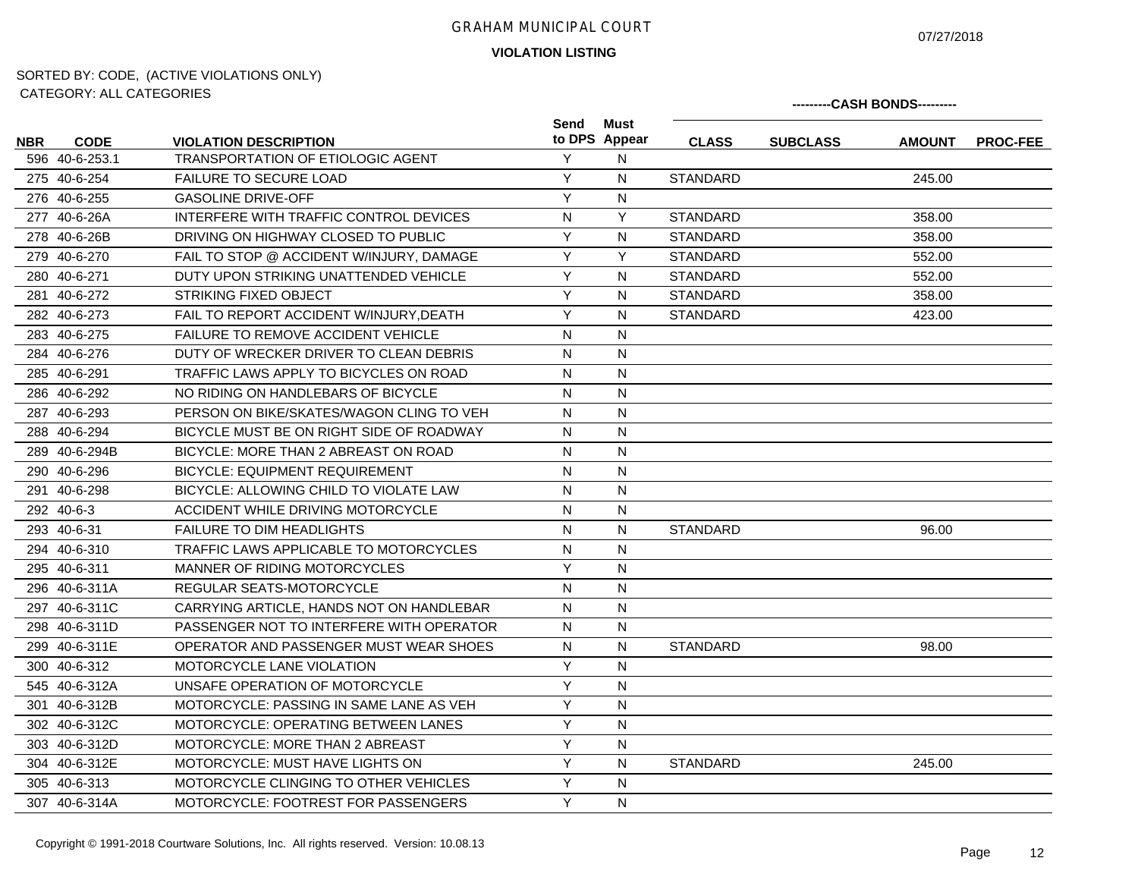07/27/2018

**VIOLATION LISTING**

|            | <u>UATLOUINT. ALL UATLOUINLU</u> |                                            |              |                       |                 | ---------CASH BONDS---------<br><b>SUBCLASS</b><br><b>AMOUNT</b><br>245.00<br>358.00 |          |
|------------|----------------------------------|--------------------------------------------|--------------|-----------------------|-----------------|--------------------------------------------------------------------------------------|----------|
| <b>NBR</b> | <b>CODE</b>                      | <b>VIOLATION DESCRIPTION</b>               | Send         | Must<br>to DPS Appear | <b>CLASS</b>    |                                                                                      | PROC-FEE |
|            | 596 40-6-253.1                   | <b>TRANSPORTATION OF ETIOLOGIC AGENT</b>   | Y            | N                     |                 |                                                                                      |          |
|            | 275 40-6-254                     | <b>FAILURE TO SECURE LOAD</b>              | Y            | N                     | <b>STANDARD</b> |                                                                                      |          |
|            | 276 40-6-255                     | <b>GASOLINE DRIVE-OFF</b>                  | Y            | $\mathsf{N}$          |                 |                                                                                      |          |
|            | 277 40-6-26A                     | INTERFERE WITH TRAFFIC CONTROL DEVICES     | $\mathsf{N}$ | Y                     | <b>STANDARD</b> |                                                                                      |          |
|            | 278 40-6-26B                     | DRIVING ON HIGHWAY CLOSED TO PUBLIC        | Y            | N                     | <b>STANDARD</b> | 358.00                                                                               |          |
|            | 279 40-6-270                     | FAIL TO STOP @ ACCIDENT W/INJURY, DAMAGE   | Y            | Y                     | <b>STANDARD</b> | 552.00                                                                               |          |
|            | 280 40-6-271                     | DUTY UPON STRIKING UNATTENDED VEHICLE      | Y            | N                     | <b>STANDARD</b> | 552.00                                                                               |          |
|            | 281 40-6-272                     | <b>STRIKING FIXED OBJECT</b>               | Y            | N                     | <b>STANDARD</b> | 358.00                                                                               |          |
|            | 282 40-6-273                     | FAIL TO REPORT ACCIDENT W/INJURY, DEATH    | Y            | N                     | <b>STANDARD</b> | 423.00                                                                               |          |
|            | 283 40-6-275                     | <b>FAILURE TO REMOVE ACCIDENT VEHICLE</b>  | $\mathsf{N}$ | $\mathsf{N}$          |                 |                                                                                      |          |
|            | 284 40-6-276                     | DUTY OF WRECKER DRIVER TO CLEAN DEBRIS     | ${\sf N}$    | $\mathsf{N}$          |                 |                                                                                      |          |
|            | 285 40-6-291                     | TRAFFIC LAWS APPLY TO BICYCLES ON ROAD     | $\mathsf{N}$ | N                     |                 |                                                                                      |          |
|            | 286 40-6-292                     | NO RIDING ON HANDLEBARS OF BICYCLE         | N            | N                     |                 |                                                                                      |          |
|            | 287 40-6-293                     | PERSON ON BIKE/SKATES/WAGON CLING TO VEH   | $\mathsf{N}$ | $\mathsf{N}$          |                 |                                                                                      |          |
|            | 288 40-6-294                     | BICYCLE MUST BE ON RIGHT SIDE OF ROADWAY   | N            | N                     |                 |                                                                                      |          |
|            | 289 40-6-294B                    | BICYCLE: MORE THAN 2 ABREAST ON ROAD       | N            | $\mathsf{N}$          |                 |                                                                                      |          |
|            | 290 40-6-296                     | <b>BICYCLE: EQUIPMENT REQUIREMENT</b>      | N            | N                     |                 |                                                                                      |          |
|            | 291 40-6-298                     | BICYCLE: ALLOWING CHILD TO VIOLATE LAW     | N            | N                     |                 |                                                                                      |          |
|            | 292 40-6-3                       | ACCIDENT WHILE DRIVING MOTORCYCLE          | N            | N                     |                 |                                                                                      |          |
|            | 293 40-6-31                      | <b>FAILURE TO DIM HEADLIGHTS</b>           | $\mathsf{N}$ | N                     | <b>STANDARD</b> | 96.00                                                                                |          |
|            | 294 40-6-310                     | TRAFFIC LAWS APPLICABLE TO MOTORCYCLES     | $\mathsf{N}$ | N                     |                 |                                                                                      |          |
|            | 295 40-6-311                     | MANNER OF RIDING MOTORCYCLES               | Y            | $\mathsf{N}$          |                 |                                                                                      |          |
|            | 296 40-6-311A                    | REGULAR SEATS-MOTORCYCLE                   | N            | N                     |                 |                                                                                      |          |
|            | 297 40-6-311C                    | CARRYING ARTICLE, HANDS NOT ON HANDLEBAR   | N            | $\mathsf{N}$          |                 |                                                                                      |          |
|            | 298 40-6-311D                    | PASSENGER NOT TO INTERFERE WITH OPERATOR   | N            | N                     |                 |                                                                                      |          |
|            | 299 40-6-311E                    | OPERATOR AND PASSENGER MUST WEAR SHOES     | $\mathsf{N}$ | N                     | <b>STANDARD</b> | 98.00                                                                                |          |
|            | 300 40-6-312                     | MOTORCYCLE LANE VIOLATION                  | Y            | N                     |                 |                                                                                      |          |
|            | 545 40-6-312A                    | UNSAFE OPERATION OF MOTORCYCLE             | Y            | $\mathsf{N}$          |                 |                                                                                      |          |
|            | 301 40-6-312B                    | MOTORCYCLE: PASSING IN SAME LANE AS VEH    | Y            | N                     |                 |                                                                                      |          |
|            | 302 40-6-312C                    | <b>MOTORCYCLE: OPERATING BETWEEN LANES</b> | Y            | $\mathsf{N}$          |                 |                                                                                      |          |
|            | 303 40-6-312D                    | MOTORCYCLE: MORE THAN 2 ABREAST            | Y            | $\mathsf{N}$          |                 |                                                                                      |          |
|            | 304 40-6-312E                    | MOTORCYCLE: MUST HAVE LIGHTS ON            | Y            | $\mathsf{N}$          | STANDARD        | 245.00                                                                               |          |
|            | 305 40-6-313                     | MOTORCYCLE CLINGING TO OTHER VEHICLES      | Y            | N                     |                 |                                                                                      |          |
|            | 307 40-6-314A                    | <b>MOTORCYCLE: FOOTREST FOR PASSENGERS</b> | Y            | N                     |                 |                                                                                      |          |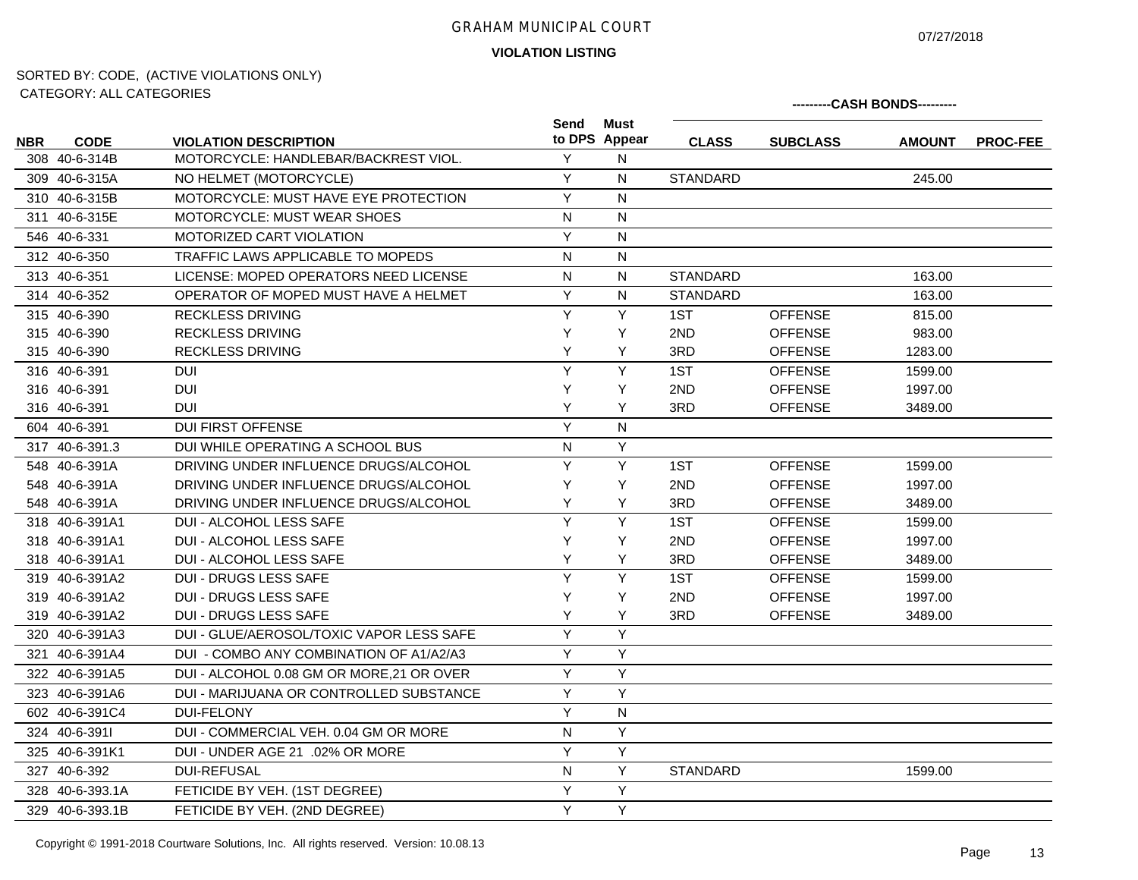# **VIOLATION LISTING** GRAHAM MUNICIPAL COURT

07/27/2018

| UATEUURT. ALL UATEUURIES |                 |                                           |                | ---------CASH BONDS--------- |                 |                 |               |                 |
|--------------------------|-----------------|-------------------------------------------|----------------|------------------------------|-----------------|-----------------|---------------|-----------------|
| <b>NBR</b>               | <b>CODE</b>     | <b>VIOLATION DESCRIPTION</b>              | Send           | <b>Must</b><br>to DPS Appear | <b>CLASS</b>    | <b>SUBCLASS</b> | <b>AMOUNT</b> | <b>PROC-FEE</b> |
|                          | 308 40-6-314B   | MOTORCYCLE: HANDLEBAR/BACKREST VIOL.      | Υ              | N                            |                 |                 |               |                 |
|                          | 309 40-6-315A   | NO HELMET (MOTORCYCLE)                    | Y              | N                            | <b>STANDARD</b> |                 | 245.00        |                 |
|                          | 310 40-6-315B   | MOTORCYCLE: MUST HAVE EYE PROTECTION      | Y              | N                            |                 |                 |               |                 |
|                          | 311 40-6-315E   | <b>MOTORCYCLE: MUST WEAR SHOES</b>        | N              | N                            |                 |                 |               |                 |
|                          | 546 40-6-331    | MOTORIZED CART VIOLATION                  | Υ              | N                            |                 |                 |               |                 |
|                          | 312 40-6-350    | TRAFFIC LAWS APPLICABLE TO MOPEDS         | N              | N                            |                 |                 |               |                 |
|                          | 313 40-6-351    | LICENSE: MOPED OPERATORS NEED LICENSE     | N              | N                            | <b>STANDARD</b> |                 | 163.00        |                 |
|                          | 314 40-6-352    | OPERATOR OF MOPED MUST HAVE A HELMET      | Υ              | N                            | <b>STANDARD</b> |                 | 163.00        |                 |
|                          | 315 40-6-390    | <b>RECKLESS DRIVING</b>                   | Y              | Y                            | 1ST             | <b>OFFENSE</b>  | 815.00        |                 |
|                          | 315 40-6-390    | <b>RECKLESS DRIVING</b>                   | Y              | Y                            | 2ND             | <b>OFFENSE</b>  | 983.00        |                 |
|                          | 315 40-6-390    | <b>RECKLESS DRIVING</b>                   | Υ              | Y                            | 3RD             | <b>OFFENSE</b>  | 1283.00       |                 |
|                          | 316 40-6-391    | <b>DUI</b>                                | Y              | Y                            | 1ST             | <b>OFFENSE</b>  | 1599.00       |                 |
|                          | 316 40-6-391    | <b>DUI</b>                                | Y              | Y                            | 2ND             | <b>OFFENSE</b>  | 1997.00       |                 |
|                          | 316 40-6-391    | <b>DUI</b>                                | Y              | Y                            | 3RD             | <b>OFFENSE</b>  | 3489.00       |                 |
|                          | 604 40-6-391    | <b>DUI FIRST OFFENSE</b>                  | Y              | N                            |                 |                 |               |                 |
|                          | 317 40-6-391.3  | DUI WHILE OPERATING A SCHOOL BUS          | N              | Y                            |                 |                 |               |                 |
|                          | 548 40-6-391A   | DRIVING UNDER INFLUENCE DRUGS/ALCOHOL     | Y              | Y                            | 1ST             | <b>OFFENSE</b>  | 1599.00       |                 |
|                          | 548 40-6-391A   | DRIVING UNDER INFLUENCE DRUGS/ALCOHOL     | Y              | Y                            | 2ND             | <b>OFFENSE</b>  | 1997.00       |                 |
|                          | 548 40-6-391A   | DRIVING UNDER INFLUENCE DRUGS/ALCOHOL     | Y              | Υ                            | 3RD             | <b>OFFENSE</b>  | 3489.00       |                 |
|                          | 318 40-6-391A1  | <b>DUI - ALCOHOL LESS SAFE</b>            | $\overline{Y}$ | Y                            | 1ST             | <b>OFFENSE</b>  | 1599.00       |                 |
|                          | 318 40-6-391A1  | <b>DUI - ALCOHOL LESS SAFE</b>            | Υ              | Y                            | 2ND             | <b>OFFENSE</b>  | 1997.00       |                 |
|                          | 318 40-6-391A1  | DUI - ALCOHOL LESS SAFE                   | Y              | Y                            | 3RD             | <b>OFFENSE</b>  | 3489.00       |                 |
|                          | 319 40-6-391A2  | <b>DUI - DRUGS LESS SAFE</b>              | Y              | Y                            | 1ST             | <b>OFFENSE</b>  | 1599.00       |                 |
|                          | 319 40-6-391A2  | <b>DUI - DRUGS LESS SAFE</b>              | Y              | Y                            | 2ND             | <b>OFFENSE</b>  | 1997.00       |                 |
|                          | 319 40-6-391A2  | <b>DUI - DRUGS LESS SAFE</b>              | Y              | Y                            | 3RD             | <b>OFFENSE</b>  | 3489.00       |                 |
|                          | 320 40-6-391A3  | DUI - GLUE/AEROSOL/TOXIC VAPOR LESS SAFE  | Y              | Y                            |                 |                 |               |                 |
|                          | 321 40-6-391A4  | DUI - COMBO ANY COMBINATION OF A1/A2/A3   | Υ              | Y                            |                 |                 |               |                 |
|                          | 322 40-6-391A5  | DUI - ALCOHOL 0.08 GM OR MORE, 21 OR OVER | Υ              | Y                            |                 |                 |               |                 |
|                          | 323 40-6-391A6  | DUI - MARIJUANA OR CONTROLLED SUBSTANCE   | Y              | Y                            |                 |                 |               |                 |
|                          | 602 40-6-391C4  | <b>DUI-FELONY</b>                         | Y              | N                            |                 |                 |               |                 |
|                          | 324 40-6-3911   | DUI - COMMERCIAL VEH. 0.04 GM OR MORE     | N              | Y                            |                 |                 |               |                 |
|                          | 325 40-6-391K1  | DUI - UNDER AGE 21 .02% OR MORE           | Y              | Y                            |                 |                 |               |                 |
|                          | 327 40-6-392    | <b>DUI-REFUSAL</b>                        | N              | Y                            | <b>STANDARD</b> |                 | 1599.00       |                 |
|                          | 328 40-6-393.1A | FETICIDE BY VEH. (1ST DEGREE)             | Y              | Y                            |                 |                 |               |                 |
|                          | 329 40-6-393.1B | FETICIDE BY VEH. (2ND DEGREE)             | Y              | Υ                            |                 |                 |               |                 |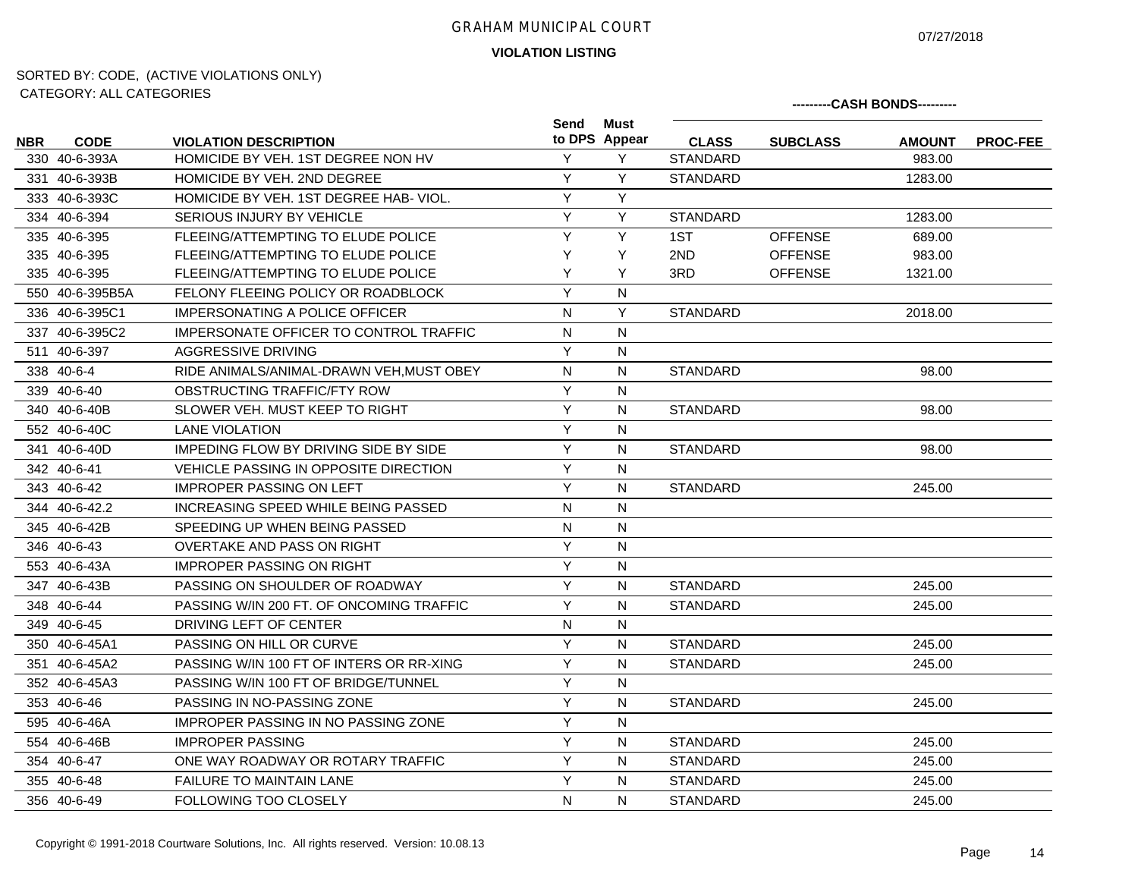07/27/2018

**---------CASH BONDS---------**

**VIOLATION LISTING**

| <b>NBR</b> | <b>CODE</b>     | <b>VIOLATION DESCRIPTION</b>               | Send         | Must<br>to DPS Appear | <b>CLASS</b>    | <b>SUBCLASS</b> | <b>AMOUNT</b> | <b>PROC-FEE</b> |  |
|------------|-----------------|--------------------------------------------|--------------|-----------------------|-----------------|-----------------|---------------|-----------------|--|
|            | 330 40-6-393A   | HOMICIDE BY VEH. 1ST DEGREE NON HV         | Y            | Y                     | <b>STANDARD</b> |                 | 983.00        |                 |  |
|            | 331 40-6-393B   | HOMICIDE BY VEH. 2ND DEGREE                | Y            | Y                     | <b>STANDARD</b> |                 | 1283.00       |                 |  |
|            | 333 40-6-393C   | HOMICIDE BY VEH. 1ST DEGREE HAB-VIOL.      | Y            | Y                     |                 |                 |               |                 |  |
|            | 334 40-6-394    | <b>SERIOUS INJURY BY VEHICLE</b>           | Y            | Y                     | <b>STANDARD</b> |                 | 1283.00       |                 |  |
|            | 335 40-6-395    | FLEEING/ATTEMPTING TO ELUDE POLICE         | Y            | Y                     | 1ST             | <b>OFFENSE</b>  | 689.00        |                 |  |
|            | 335 40-6-395    | FLEEING/ATTEMPTING TO ELUDE POLICE         | Y            | Y                     | 2ND             | <b>OFFENSE</b>  | 983.00        |                 |  |
|            | 335 40-6-395    | FLEEING/ATTEMPTING TO ELUDE POLICE         | Y            | Y                     | 3RD             | <b>OFFENSE</b>  | 1321.00       |                 |  |
|            | 550 40-6-395B5A | FELONY FLEEING POLICY OR ROADBLOCK         | Y            | N                     |                 |                 |               |                 |  |
|            | 336 40-6-395C1  | IMPERSONATING A POLICE OFFICER             | N            | Y                     | <b>STANDARD</b> |                 | 2018.00       |                 |  |
|            | 337 40-6-395C2  | IMPERSONATE OFFICER TO CONTROL TRAFFIC     | N            | N                     |                 |                 |               |                 |  |
|            | 511 40-6-397    | AGGRESSIVE DRIVING                         | Y            | $\mathsf{N}$          |                 |                 |               |                 |  |
|            | 338 40-6-4      | RIDE ANIMALS/ANIMAL-DRAWN VEH.MUST OBEY    | $\mathsf{N}$ | $\mathsf{N}$          | <b>STANDARD</b> |                 | 98.00         |                 |  |
|            | 339 40-6-40     | OBSTRUCTING TRAFFIC/FTY ROW                | Y            | N                     |                 |                 |               |                 |  |
|            | 340 40-6-40B    | SLOWER VEH. MUST KEEP TO RIGHT             | Y            | N                     | <b>STANDARD</b> |                 | 98.00         |                 |  |
|            | 552 40-6-40C    | <b>LANE VIOLATION</b>                      | Y            | N                     |                 |                 |               |                 |  |
|            | 341 40-6-40D    | IMPEDING FLOW BY DRIVING SIDE BY SIDE      | Y            | N                     | <b>STANDARD</b> |                 | 98.00         |                 |  |
|            | 342 40-6-41     | VEHICLE PASSING IN OPPOSITE DIRECTION      | Y            | N                     |                 |                 |               |                 |  |
|            | 343 40-6-42     | <b>IMPROPER PASSING ON LEFT</b>            | Y            | N                     | <b>STANDARD</b> |                 | 245.00        |                 |  |
|            | 344 40-6-42.2   | INCREASING SPEED WHILE BEING PASSED        | $\mathsf{N}$ | N                     |                 |                 |               |                 |  |
|            | 345 40-6-42B    | SPEEDING UP WHEN BEING PASSED              | $\mathsf{N}$ | ${\sf N}$             |                 |                 |               |                 |  |
|            | 346 40-6-43     | <b>OVERTAKE AND PASS ON RIGHT</b>          | Y            | $\mathsf{N}$          |                 |                 |               |                 |  |
|            | 553 40-6-43A    | <b>IMPROPER PASSING ON RIGHT</b>           | Y            | N                     |                 |                 |               |                 |  |
|            | 347 40-6-43B    | PASSING ON SHOULDER OF ROADWAY             | Y            | $\mathsf{N}$          | <b>STANDARD</b> |                 | 245.00        |                 |  |
|            | 348 40-6-44     | PASSING W/IN 200 FT. OF ONCOMING TRAFFIC   | Y            | N                     | <b>STANDARD</b> |                 | 245.00        |                 |  |
|            | 349 40-6-45     | DRIVING LEFT OF CENTER                     | N            | N                     |                 |                 |               |                 |  |
|            | 350 40-6-45A1   | PASSING ON HILL OR CURVE                   | Y            | $\mathsf{N}$          | <b>STANDARD</b> |                 | 245.00        |                 |  |
|            | 351 40-6-45A2   | PASSING W/IN 100 FT OF INTERS OR RR-XING   | Y            | N                     | <b>STANDARD</b> |                 | 245.00        |                 |  |
|            | 352 40-6-45A3   | PASSING W/IN 100 FT OF BRIDGE/TUNNEL       | Y            | N                     |                 |                 |               |                 |  |
|            | 353 40-6-46     | PASSING IN NO-PASSING ZONE                 | Y            | N                     | <b>STANDARD</b> |                 | 245.00        |                 |  |
|            | 595 40-6-46A    | <b>IMPROPER PASSING IN NO PASSING ZONE</b> | Y            | N                     |                 |                 |               |                 |  |
|            | 554 40-6-46B    | <b>IMPROPER PASSING</b>                    | Y            | N                     | <b>STANDARD</b> |                 | 245.00        |                 |  |
|            | 354 40-6-47     | ONE WAY ROADWAY OR ROTARY TRAFFIC          | Y            | N                     | <b>STANDARD</b> |                 | 245.00        |                 |  |
|            | 355 40-6-48     | <b>FAILURE TO MAINTAIN LANE</b>            | Y            | N                     | <b>STANDARD</b> |                 | 245.00        |                 |  |
|            | 356 40-6-49     | <b>FOLLOWING TOO CLOSELY</b>               | N            | N                     | <b>STANDARD</b> |                 | 245.00        |                 |  |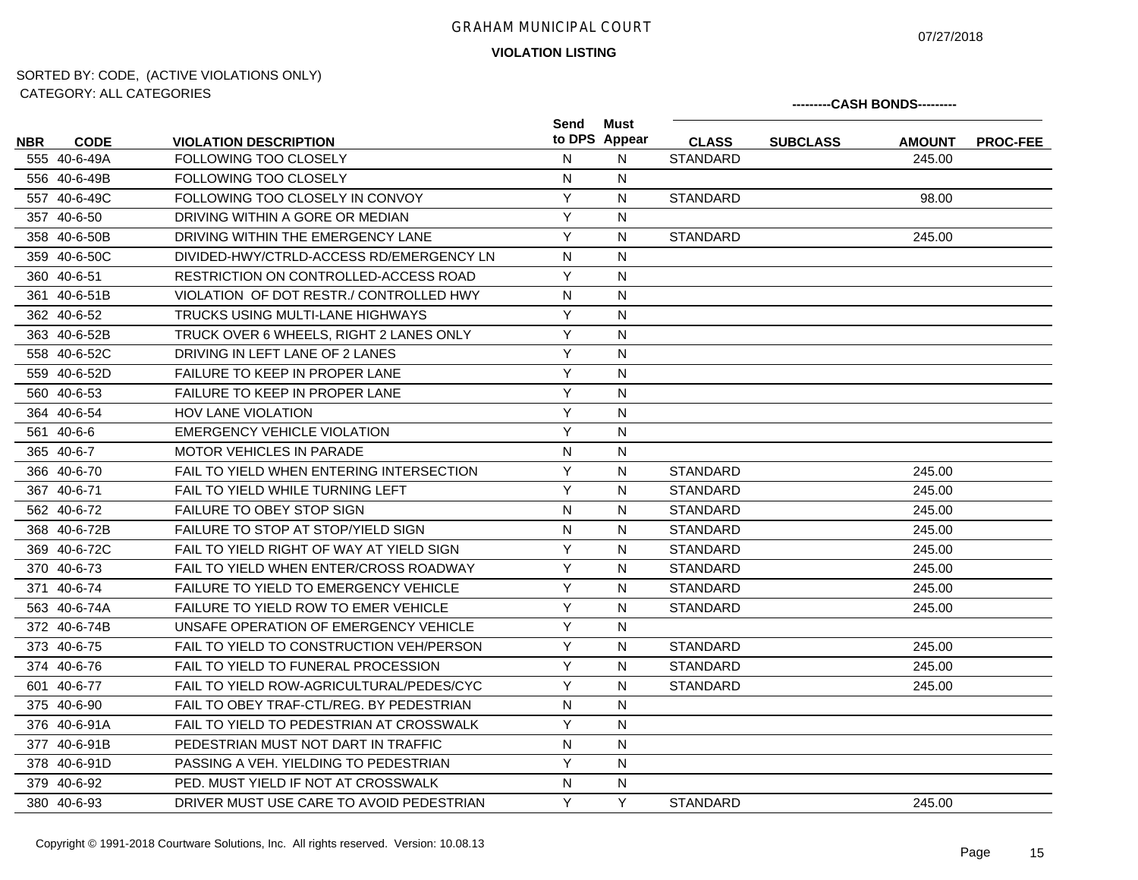07/27/2018

**---------CASH BONDS---------**

**VIOLATION LISTING**

|            |              |                                              | Send           | Must          |                 |                 |               |                 |
|------------|--------------|----------------------------------------------|----------------|---------------|-----------------|-----------------|---------------|-----------------|
| <b>NBR</b> | <b>CODE</b>  | <b>VIOLATION DESCRIPTION</b>                 |                | to DPS Appear | <b>CLASS</b>    | <b>SUBCLASS</b> | <b>AMOUNT</b> | <b>PROC-FEE</b> |
|            | 555 40-6-49A | <b>FOLLOWING TOO CLOSELY</b>                 | N              | N             | <b>STANDARD</b> |                 | 245.00        |                 |
|            | 556 40-6-49B | <b>FOLLOWING TOO CLOSELY</b>                 | N              | N             |                 |                 |               |                 |
|            | 557 40-6-49C | FOLLOWING TOO CLOSELY IN CONVOY              | Y              | N             | <b>STANDARD</b> |                 | 98.00         |                 |
|            | 357 40-6-50  | DRIVING WITHIN A GORE OR MEDIAN              | Y              | N             |                 |                 |               |                 |
|            | 358 40-6-50B | DRIVING WITHIN THE EMERGENCY LANE            | Y              | N             | <b>STANDARD</b> |                 | 245.00        |                 |
|            | 359 40-6-50C | DIVIDED-HWY/CTRLD-ACCESS RD/EMERGENCY LN     | N              | N             |                 |                 |               |                 |
|            | 360 40-6-51  | RESTRICTION ON CONTROLLED-ACCESS ROAD        | Y              | N             |                 |                 |               |                 |
|            | 361 40-6-51B | VIOLATION OF DOT RESTR./ CONTROLLED HWY      | N              | N             |                 |                 |               |                 |
|            | 362 40-6-52  | TRUCKS USING MULTI-LANE HIGHWAYS             | Y              | N             |                 |                 |               |                 |
|            | 363 40-6-52B | TRUCK OVER 6 WHEELS, RIGHT 2 LANES ONLY      | Y              | N             |                 |                 |               |                 |
|            | 558 40-6-52C | DRIVING IN LEFT LANE OF 2 LANES              | Y              | N             |                 |                 |               |                 |
|            | 559 40-6-52D | <b>FAILURE TO KEEP IN PROPER LANE</b>        | Y              | N             |                 |                 |               |                 |
|            | 560 40-6-53  | <b>FAILURE TO KEEP IN PROPER LANE</b>        | Y              | N             |                 |                 |               |                 |
|            | 364 40-6-54  | <b>HOV LANE VIOLATION</b>                    | Y              | N             |                 |                 |               |                 |
|            | 561 40-6-6   | EMERGENCY VEHICLE VIOLATION                  | Y              | N             |                 |                 |               |                 |
|            | 365 40-6-7   | MOTOR VEHICLES IN PARADE                     | N              | N             |                 |                 |               |                 |
|            | 366 40-6-70  | FAIL TO YIELD WHEN ENTERING INTERSECTION     | Y              | N             | <b>STANDARD</b> |                 | 245.00        |                 |
|            | 367 40-6-71  | FAIL TO YIELD WHILE TURNING LEFT             | Y              | N             | <b>STANDARD</b> |                 | 245.00        |                 |
|            | 562 40-6-72  | <b>FAILURE TO OBEY STOP SIGN</b>             | $\mathsf{N}$   | N             | <b>STANDARD</b> |                 | 245.00        |                 |
|            | 368 40-6-72B | FAILURE TO STOP AT STOP/YIELD SIGN           | N              | N             | <b>STANDARD</b> |                 | 245.00        |                 |
|            | 369 40-6-72C | FAIL TO YIELD RIGHT OF WAY AT YIELD SIGN     | Y              | N             | <b>STANDARD</b> |                 | 245.00        |                 |
|            | 370 40-6-73  | FAIL TO YIELD WHEN ENTER/CROSS ROADWAY       | Y              | N             | <b>STANDARD</b> |                 | 245.00        |                 |
|            | 371 40-6-74  | <b>FAILURE TO YIELD TO EMERGENCY VEHICLE</b> | Y              | N             | <b>STANDARD</b> |                 | 245.00        |                 |
|            | 563 40-6-74A | <b>FAILURE TO YIELD ROW TO EMER VEHICLE</b>  | $\overline{Y}$ | N             | <b>STANDARD</b> |                 | 245.00        |                 |
|            | 372 40-6-74B | UNSAFE OPERATION OF EMERGENCY VEHICLE        | Y              | N             |                 |                 |               |                 |
|            | 373 40-6-75  | FAIL TO YIELD TO CONSTRUCTION VEH/PERSON     | Y              | N             | <b>STANDARD</b> |                 | 245.00        |                 |
|            | 374 40-6-76  | FAIL TO YIELD TO FUNERAL PROCESSION          | Y              | N             | <b>STANDARD</b> |                 | 245.00        |                 |
|            | 601 40-6-77  | FAIL TO YIELD ROW-AGRICULTURAL/PEDES/CYC     | Y              | N             | <b>STANDARD</b> |                 | 245.00        |                 |
|            | 375 40-6-90  | FAIL TO OBEY TRAF-CTL/REG. BY PEDESTRIAN     | $\mathsf{N}$   | N             |                 |                 |               |                 |
|            | 376 40-6-91A | FAIL TO YIELD TO PEDESTRIAN AT CROSSWALK     | Y              | ${\sf N}$     |                 |                 |               |                 |
|            | 377 40-6-91B | PEDESTRIAN MUST NOT DART IN TRAFFIC          | $\mathsf{N}$   | N             |                 |                 |               |                 |
|            | 378 40-6-91D | PASSING A VEH. YIELDING TO PEDESTRIAN        | Y              | N             |                 |                 |               |                 |
|            | 379 40-6-92  | PED. MUST YIELD IF NOT AT CROSSWALK          | N              | N             |                 |                 |               |                 |
|            | 380 40-6-93  | DRIVER MUST USE CARE TO AVOID PEDESTRIAN     | Y              | Υ             | <b>STANDARD</b> |                 | 245.00        |                 |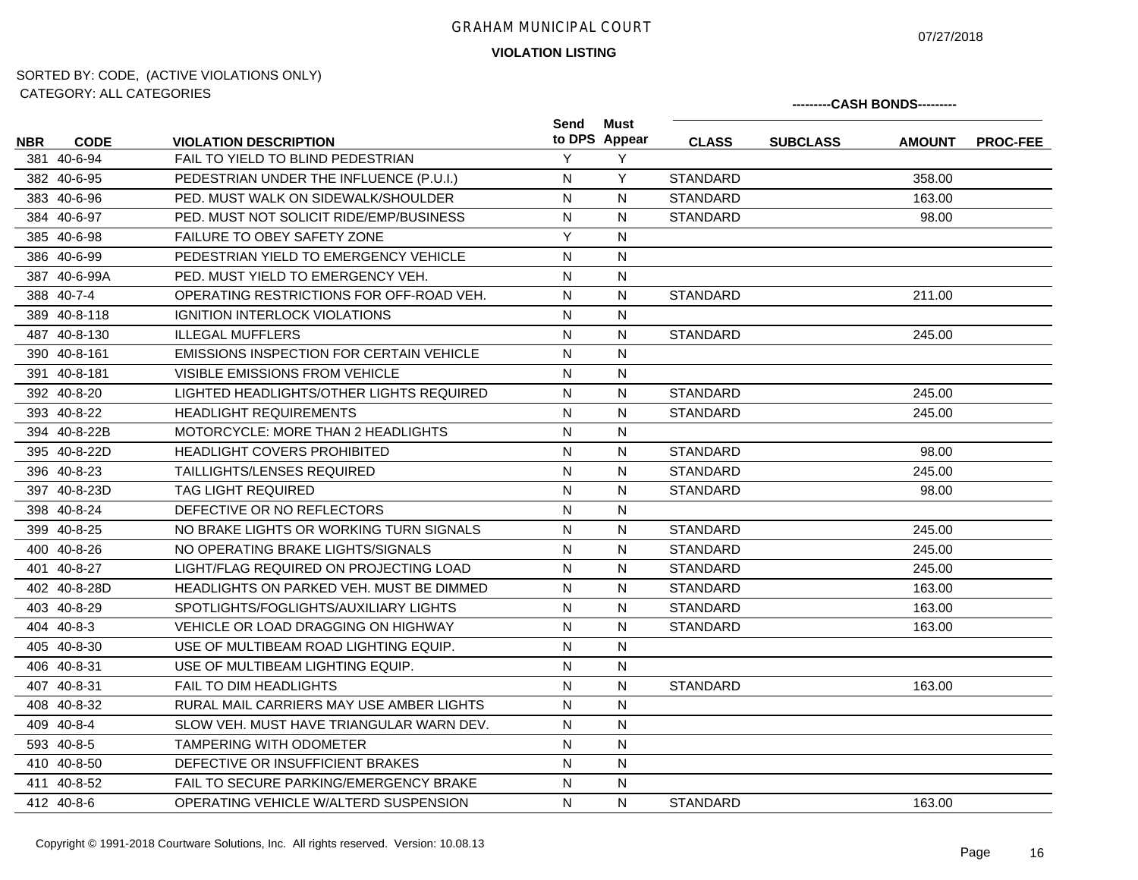07/27/2018

# **VIOLATION LISTING**

| <u>UATLOUINT. ALL UATLOUINLU</u> |              |                                                 |              |                       | ---------CASH BONDS--------- |                 |               |                 |  |
|----------------------------------|--------------|-------------------------------------------------|--------------|-----------------------|------------------------------|-----------------|---------------|-----------------|--|
| <b>NBR</b>                       | <b>CODE</b>  | <b>VIOLATION DESCRIPTION</b>                    | Send         | Must<br>to DPS Appear | <b>CLASS</b>                 | <b>SUBCLASS</b> | <b>AMOUNT</b> | <b>PROC-FEE</b> |  |
|                                  | 381 40-6-94  | FAIL TO YIELD TO BLIND PEDESTRIAN               | Y            | Y                     |                              |                 |               |                 |  |
|                                  | 382 40-6-95  | PEDESTRIAN UNDER THE INFLUENCE (P.U.I.)         | N            | Y                     | <b>STANDARD</b>              |                 | 358.00        |                 |  |
|                                  | 383 40-6-96  | PED. MUST WALK ON SIDEWALK/SHOULDER             | N            | N                     | <b>STANDARD</b>              |                 | 163.00        |                 |  |
|                                  | 384 40-6-97  | PED. MUST NOT SOLICIT RIDE/EMP/BUSINESS         | $\mathsf{N}$ | N                     | <b>STANDARD</b>              |                 | 98.00         |                 |  |
|                                  | 385 40-6-98  | FAILURE TO OBEY SAFETY ZONE                     | Y            | N                     |                              |                 |               |                 |  |
|                                  | 386 40-6-99  | PEDESTRIAN YIELD TO EMERGENCY VEHICLE           | $\mathsf{N}$ | N                     |                              |                 |               |                 |  |
|                                  | 387 40-6-99A | PED. MUST YIELD TO EMERGENCY VEH.               | N            | N                     |                              |                 |               |                 |  |
|                                  | 388 40-7-4   | OPERATING RESTRICTIONS FOR OFF-ROAD VEH.        | $\mathsf{N}$ | $\mathsf{N}$          | <b>STANDARD</b>              |                 | 211.00        |                 |  |
|                                  | 389 40-8-118 | <b>IGNITION INTERLOCK VIOLATIONS</b>            | N            | N                     |                              |                 |               |                 |  |
|                                  | 487 40-8-130 | <b>ILLEGAL MUFFLERS</b>                         | $\mathsf{N}$ | $\mathsf{N}$          | <b>STANDARD</b>              |                 | 245.00        |                 |  |
|                                  | 390 40-8-161 | <b>EMISSIONS INSPECTION FOR CERTAIN VEHICLE</b> | ${\sf N}$    | $\mathsf{N}$          |                              |                 |               |                 |  |
|                                  | 391 40-8-181 | <b>VISIBLE EMISSIONS FROM VEHICLE</b>           | $\mathsf{N}$ | N                     |                              |                 |               |                 |  |
|                                  | 392 40-8-20  | LIGHTED HEADLIGHTS/OTHER LIGHTS REQUIRED        | N            | N                     | <b>STANDARD</b>              |                 | 245.00        |                 |  |
|                                  | 393 40-8-22  | <b>HEADLIGHT REQUIREMENTS</b>                   | $\mathsf{N}$ | $\mathsf{N}$          | <b>STANDARD</b>              |                 | 245.00        |                 |  |
|                                  | 394 40-8-22B | MOTORCYCLE: MORE THAN 2 HEADLIGHTS              | N            | N                     |                              |                 |               |                 |  |
|                                  | 395 40-8-22D | <b>HEADLIGHT COVERS PROHIBITED</b>              | $\mathsf{N}$ | N                     | <b>STANDARD</b>              |                 | 98.00         |                 |  |
|                                  | 396 40-8-23  | <b>TAILLIGHTS/LENSES REQUIRED</b>               | N            | N                     | <b>STANDARD</b>              |                 | 245.00        |                 |  |
|                                  | 397 40-8-23D | <b>TAG LIGHT REQUIRED</b>                       | N            | N                     | <b>STANDARD</b>              |                 | 98.00         |                 |  |
|                                  | 398 40-8-24  | DEFECTIVE OR NO REFLECTORS                      | N            | N                     |                              |                 |               |                 |  |
|                                  | 399 40-8-25  | NO BRAKE LIGHTS OR WORKING TURN SIGNALS         | $\mathsf{N}$ | N                     | <b>STANDARD</b>              |                 | 245.00        |                 |  |
|                                  | 400 40-8-26  | NO OPERATING BRAKE LIGHTS/SIGNALS               | N            | N                     | <b>STANDARD</b>              |                 | 245.00        |                 |  |
|                                  | 401 40-8-27  | LIGHT/FLAG REQUIRED ON PROJECTING LOAD          | $\mathsf{N}$ | N                     | <b>STANDARD</b>              |                 | 245.00        |                 |  |
|                                  | 402 40-8-28D | <b>HEADLIGHTS ON PARKED VEH. MUST BE DIMMED</b> | N            | N                     | <b>STANDARD</b>              |                 | 163.00        |                 |  |
|                                  | 403 40-8-29  | SPOTLIGHTS/FOGLIGHTS/AUXILIARY LIGHTS           | N            | N                     | <b>STANDARD</b>              |                 | 163.00        |                 |  |
|                                  | 404 40-8-3   | VEHICLE OR LOAD DRAGGING ON HIGHWAY             | N            | N                     | <b>STANDARD</b>              |                 | 163.00        |                 |  |
|                                  | 405 40-8-30  | USE OF MULTIBEAM ROAD LIGHTING EQUIP.           | N            | N                     |                              |                 |               |                 |  |
|                                  | 406 40-8-31  | USE OF MULTIBEAM LIGHTING EQUIP.                | N            | N                     |                              |                 |               |                 |  |
|                                  | 407 40-8-31  | <b>FAIL TO DIM HEADLIGHTS</b>                   | N            | N                     | <b>STANDARD</b>              |                 | 163.00        |                 |  |
|                                  | 408 40-8-32  | RURAL MAIL CARRIERS MAY USE AMBER LIGHTS        | N            | N                     |                              |                 |               |                 |  |
|                                  | 409 40-8-4   | SLOW VEH. MUST HAVE TRIANGULAR WARN DEV.        | N            | $\mathsf{N}$          |                              |                 |               |                 |  |
|                                  | 593 40-8-5   | <b>TAMPERING WITH ODOMETER</b>                  | N            | N                     |                              |                 |               |                 |  |
|                                  | 410 40-8-50  | DEFECTIVE OR INSUFFICIENT BRAKES                | $\mathsf{N}$ | $\mathsf{N}$          |                              |                 |               |                 |  |
|                                  | 411 40-8-52  | FAIL TO SECURE PARKING/EMERGENCY BRAKE          | N            | N                     |                              |                 |               |                 |  |
|                                  | 412 40-8-6   | OPERATING VEHICLE W/ALTERD SUSPENSION           | $\mathsf{N}$ | N                     | <b>STANDARD</b>              |                 | 163.00        |                 |  |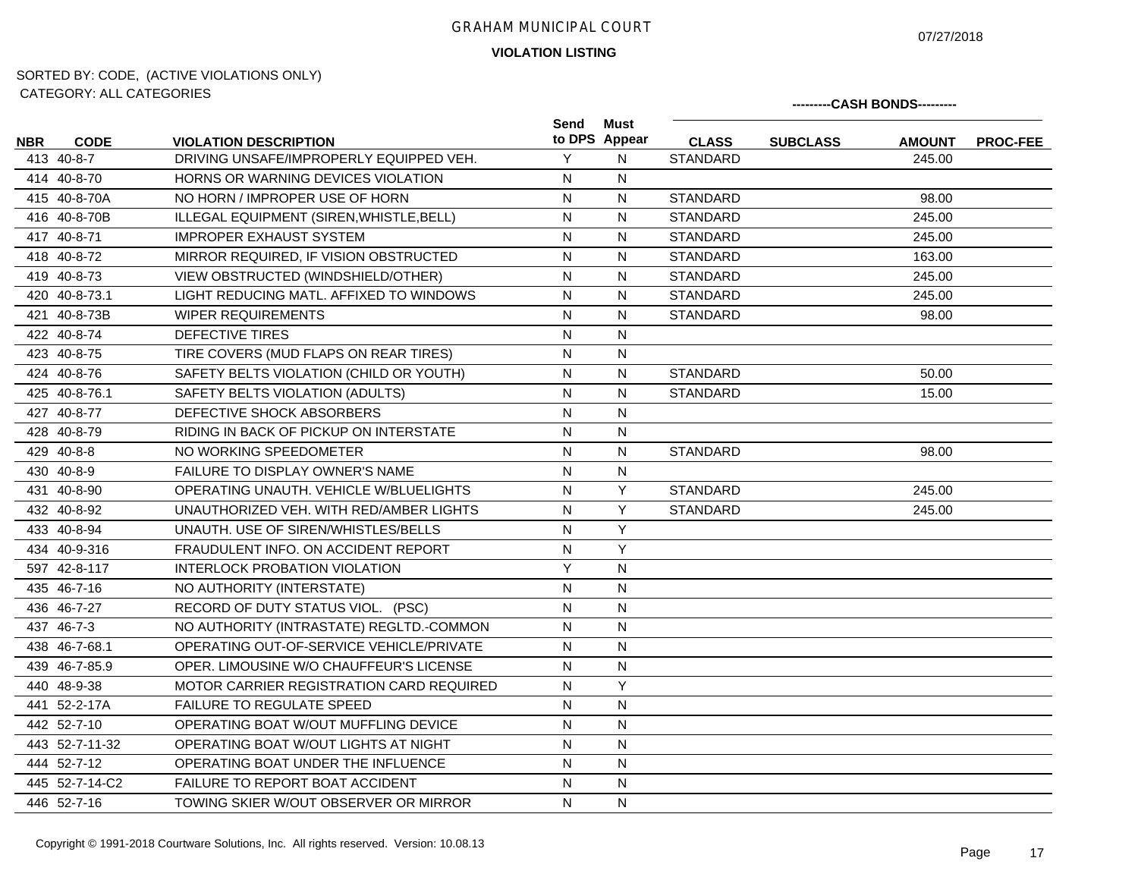07/27/2018

**---------CASH BONDS---------**

**VIOLATION LISTING**

| <b>NBR</b> | <b>CODE</b>    | <b>VIOLATION DESCRIPTION</b>             | Send                    | Must<br>to DPS Appear | <b>CLASS</b>    | <b>SUBCLASS</b> | <b>AMOUNT</b> | <b>PROC-FEE</b> |
|------------|----------------|------------------------------------------|-------------------------|-----------------------|-----------------|-----------------|---------------|-----------------|
|            | 413 40-8-7     | DRIVING UNSAFE/IMPROPERLY EQUIPPED VEH.  | Y                       | N                     | <b>STANDARD</b> |                 | 245.00        |                 |
|            | 414 40-8-70    | HORNS OR WARNING DEVICES VIOLATION       | N                       | ${\sf N}$             |                 |                 |               |                 |
|            | 415 40-8-70A   | NO HORN / IMPROPER USE OF HORN           | $\mathsf{N}$            | N                     | <b>STANDARD</b> |                 | 98.00         |                 |
|            | 416 40-8-70B   | ILLEGAL EQUIPMENT (SIREN, WHISTLE, BELL) | $\mathsf{N}$            | N                     | <b>STANDARD</b> |                 | 245.00        |                 |
|            | 417 40-8-71    | <b>IMPROPER EXHAUST SYSTEM</b>           | $\mathsf{N}$            | N                     | <b>STANDARD</b> |                 | 245.00        |                 |
|            | 418 40-8-72    | MIRROR REQUIRED, IF VISION OBSTRUCTED    | N                       | N                     | <b>STANDARD</b> |                 | 163.00        |                 |
|            | 419 40-8-73    | VIEW OBSTRUCTED (WINDSHIELD/OTHER)       | N                       | N                     | <b>STANDARD</b> |                 | 245.00        |                 |
|            | 420 40-8-73.1  | LIGHT REDUCING MATL. AFFIXED TO WINDOWS  | N                       | N                     | <b>STANDARD</b> |                 | 245.00        |                 |
|            | 421 40-8-73B   | <b>WIPER REQUIREMENTS</b>                | N                       | N                     | <b>STANDARD</b> |                 | 98.00         |                 |
|            | 422 40-8-74    | DEFECTIVE TIRES                          | N                       | N                     |                 |                 |               |                 |
|            | 423 40-8-75    | TIRE COVERS (MUD FLAPS ON REAR TIRES)    | N                       | N                     |                 |                 |               |                 |
|            | 424 40-8-76    | SAFETY BELTS VIOLATION (CHILD OR YOUTH)  | $\overline{\mathsf{N}}$ | ${\sf N}$             | <b>STANDARD</b> |                 | 50.00         |                 |
|            | 425 40-8-76.1  | SAFETY BELTS VIOLATION (ADULTS)          | N                       | ${\sf N}$             | <b>STANDARD</b> |                 | 15.00         |                 |
|            | 427 40-8-77    | DEFECTIVE SHOCK ABSORBERS                | N                       | N                     |                 |                 |               |                 |
|            | 428 40-8-79    | RIDING IN BACK OF PICKUP ON INTERSTATE   | N                       | N                     |                 |                 |               |                 |
|            | 429 40-8-8     | NO WORKING SPEEDOMETER                   | N                       | N                     | <b>STANDARD</b> |                 | 98.00         |                 |
|            | 430 40-8-9     | <b>FAILURE TO DISPLAY OWNER'S NAME</b>   | N                       | ${\sf N}$             |                 |                 |               |                 |
|            | 431 40-8-90    | OPERATING UNAUTH, VEHICLE W/BLUELIGHTS   | N                       | Y                     | <b>STANDARD</b> |                 | 245.00        |                 |
|            | 432 40-8-92    | UNAUTHORIZED VEH. WITH RED/AMBER LIGHTS  | N                       | $\overline{Y}$        | <b>STANDARD</b> |                 | 245.00        |                 |
|            | 433 40-8-94    | UNAUTH. USE OF SIREN/WHISTLES/BELLS      | N                       | Y                     |                 |                 |               |                 |
|            | 434 40-9-316   | FRAUDULENT INFO. ON ACCIDENT REPORT      | N                       | Y                     |                 |                 |               |                 |
|            | 597 42-8-117   | <b>INTERLOCK PROBATION VIOLATION</b>     | Y                       | N                     |                 |                 |               |                 |
|            | 435 46-7-16    | NO AUTHORITY (INTERSTATE)                | $\overline{N}$          | $\mathsf{N}$          |                 |                 |               |                 |
|            | 436 46-7-27    | RECORD OF DUTY STATUS VIOL. (PSC)        | $\mathsf{N}$            | ${\sf N}$             |                 |                 |               |                 |
|            | 437 46-7-3     | NO AUTHORITY (INTRASTATE) REGLTD.-COMMON | $\mathsf{N}$            | ${\sf N}$             |                 |                 |               |                 |
|            | 438 46-7-68.1  | OPERATING OUT-OF-SERVICE VEHICLE/PRIVATE | N                       | N                     |                 |                 |               |                 |
|            | 439 46-7-85.9  | OPER. LIMOUSINE W/O CHAUFFEUR'S LICENSE  | N                       | N                     |                 |                 |               |                 |
|            | 440 48-9-38    | MOTOR CARRIER REGISTRATION CARD REQUIRED | $\mathsf{N}$            | Y                     |                 |                 |               |                 |
|            | 441 52-2-17A   | <b>FAILURE TO REGULATE SPEED</b>         | N                       | N                     |                 |                 |               |                 |
|            | 442 52-7-10    | OPERATING BOAT W/OUT MUFFLING DEVICE     | N                       | N                     |                 |                 |               |                 |
|            | 443 52-7-11-32 | OPERATING BOAT W/OUT LIGHTS AT NIGHT     | N                       | N                     |                 |                 |               |                 |
|            | 444 52-7-12    | OPERATING BOAT UNDER THE INFLUENCE       | N                       | N                     |                 |                 |               |                 |
|            | 445 52-7-14-C2 | FAILURE TO REPORT BOAT ACCIDENT          | $\mathsf{N}$            | N                     |                 |                 |               |                 |
|            | 446 52-7-16    | TOWING SKIER W/OUT OBSERVER OR MIRROR    | N                       | N                     |                 |                 |               |                 |